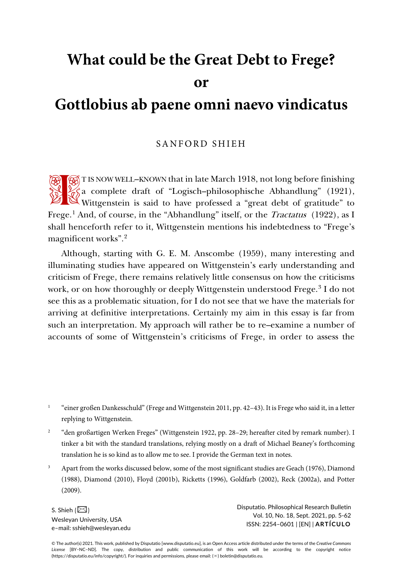# **What could be the Great Debt to Frege?**

**or**

# **Gottlobius ab paene omni naevo vindicatus**

### SANFORD SHIEH

T IS NOW WELL-KNOWN that in late March 1918, not long before finishing  $\frac{2}{3}$ a complete draft of "Logisch–philosophische Abhandlung" (1921), Wittgenstein is said to have professed a "great debt of gratitude" to wittgenstein is said to have professed a "great debt of gratitude" to Frege.<sup>[1](#page-0-0)</sup> And, of course, in the "Abhandlung" itself, or the *Tractatus* (1922), as I shall henceforth refer to it, Wittgenstein mentions his indebtedness to "Frege's magnificent works".[2](#page-0-1)

Although, starting with G. E. M. Anscombe (1959), many interesting and illuminating studies have appeared on Wittgenstein's early understanding and criticism of Frege, there remains relatively little consensus on how the criticisms work, or on how thoroughly or deeply Wittgenstein understood Frege.<sup>[3](#page-0-2)</sup> I do not see this as a problematic situation, for I do not see that we have the materials for arriving at definitive interpretations. Certainly my aim in this essay is far from such an interpretation. My approach will rather be to re–examine a number of accounts of some of Wittgenstein's criticisms of Frege, in order to assess the

- <span id="page-0-0"></span><sup>1</sup> "einer großen Dankesschuld" (Frege and Wittgenstein 2011, pp. 42–43). It is Frege who said it, in a letter replying to Wittgenstein.
- <span id="page-0-1"></span><sup>2</sup> "den großartigen Werken Freges" (Wittgenstein 1922, pp. 28-29; hereafter cited by remark number). I tinker a bit with the standard translations, relying mostly on a draft of Michael Beaney's forthcoming translation he is so kind as to allow me to see. I provide the German text in notes.
- <span id="page-0-2"></span><sup>3</sup> Apart from the works discussed below, some of the most significant studies are Geach (1976), Diamond (1988), Diamond (2010), Floyd (2001b), Ricketts (1996), Goldfarb (2002), Reck (2002a), and Potter (2009).

S. Shieh  $(\boxtimes)$ Wesleyan University, USA e–mail: sshieh@wesleyan.edu Disputatio. Philosophical Research Bulletin Vol. 10, No. 18, Sept. 2021, pp. 5-62 ISSN: 2254–0601 | [EN] | **ARTÍCULO**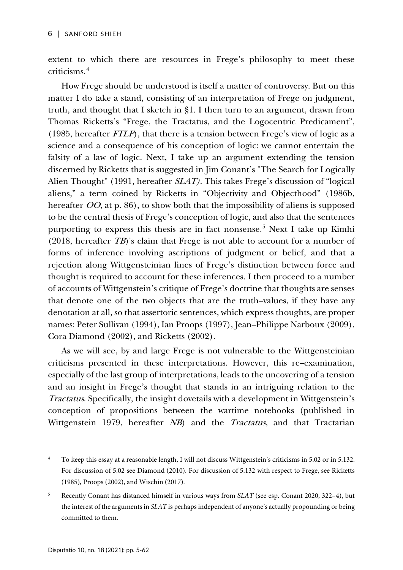extent to which there are resources in Frege's philosophy to meet these criticisms.[4](#page-1-0)

How Frege should be understood is itself a matter of controversy. But on this matter I do take a stand, consisting of an interpretation of Frege on judgment, truth, and thought that I sketch in §1. I then turn to an argument, drawn from Thomas Ricketts's "Frege, the Tractatus, and the Logocentric Predicament", (1985, hereafter  $FTLP$ ), that there is a tension between Frege's view of logic as a science and a consequence of his conception of logic: we cannot entertain the falsity of a law of logic. Next, I take up an argument extending the tension discerned by Ricketts that is suggested in Jim Conant's "The Search for Logically Alien Thought" (1991, hereafter SLAT). This takes Frege's discussion of "logical aliens," a term coined by Ricketts in "Objectivity and Objecthood" (1986b, hereafter OO, at p. 86), to show both that the impossibility of aliens is supposed to be the central thesis of Frege's conception of logic, and also that the sentences purporting to express this thesis are in fact nonsense.[5](#page-1-1) Next I take up Kimhi (2018, hereafter TB)'s claim that Frege is not able to account for a number of forms of inference involving ascriptions of judgment or belief, and that a rejection along Wittgensteinian lines of Frege's distinction between force and thought is required to account for these inferences. I then proceed to a number of accounts of Wittgenstein's critique of Frege's doctrine that thoughts are senses that denote one of the two objects that are the truth–values, if they have any denotation at all, so that assertoric sentences, which express thoughts, are proper names: Peter Sullivan (1994), Ian Proops (1997), Jean–Philippe Narboux (2009), Cora Diamond (2002), and Ricketts (2002).

As we will see, by and large Frege is not vulnerable to the Wittgensteinian criticisms presented in these interpretations. However, this re–examination, especially of the last group of interpretations, leads to the uncovering of a tension and an insight in Frege's thought that stands in an intriguing relation to the Tractatus. Specifically, the insight dovetails with a development in Wittgenstein's conception of propositions between the wartime notebooks (published in Wittgenstein 1979, hereafter NB) and the Tractatus, and that Tractarian

<span id="page-1-0"></span><sup>&</sup>lt;sup>4</sup> To keep this essay at a reasonable length, I will not discuss Wittgenstein's criticisms in 5.02 or in 5.132. For discussion of 5.02 see Diamond (2010). For discussion of 5.132 with respect to Frege, see Ricketts (1985), Proops (2002), and Wischin (2017).

<span id="page-1-1"></span><sup>5</sup> Recently Conant has distanced himself in various ways from *SLAT* (see esp. Conant 2020, 322–4), but the interest of the arguments in *SLAT* is perhaps independent of anyone's actually propounding or being committed to them.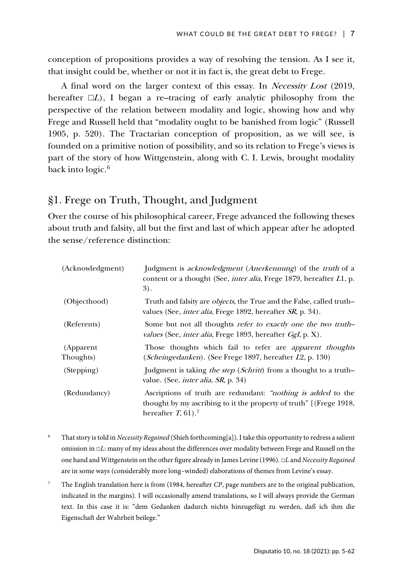conception of propositions provides a way of resolving the tension. As I see it, that insight could be, whether or not it in fact is, the great debt to Frege.

A final word on the larger context of this essay. In Necessity Lost (2019, hereafter  $\Box L$ ), I began a re–tracing of early analytic philosophy from the perspective of the relation between modality and logic, showing how and why Frege and Russell held that "modality ought to be banished from logic" (Russell 1905, p. 520). The Tractarian conception of proposition, as we will see, is founded on a primitive notion of possibility, and so its relation to Frege's views is part of the story of how Wittgenstein, along with C. I. Lewis, brought modality back into  $logic.^6$  $logic.^6$ 

### §1. Frege on Truth, Thought, and Judgment

Over the course of his philosophical career, Frege advanced the following theses about truth and falsity, all but the first and last of which appear after he adopted the sense/reference distinction:

| (Acknowledgment)       | Judgment is <i>acknowledgment</i> ( <i>Anerkennung</i> ) of the <i>truth</i> of a<br>content or a thought (See, <i>inter alia</i> , Frege 1879, hereafter L1, p.<br>3).         |
|------------------------|---------------------------------------------------------------------------------------------------------------------------------------------------------------------------------|
| (Objecthood)           | Truth and falsity are <i>objects</i> , the True and the False, called truth-<br>values (See, <i>inter alia</i> , Frege 1892, hereafter <i>SR</i> , p. 34).                      |
| (Referents)            | Some but not all thoughts refer to exactly one the two truth-<br>values (See, <i>inter alia</i> , Frege 1893, hereafter <i>GgI</i> , p. X).                                     |
| (Apparent<br>Thoughts) | Those thoughts which fail to refer are <i>apparent thoughts</i><br>( <i>Scheingedanken</i> ). (See Frege 1897, hereafter <i>L</i> 2, p. 130)                                    |
| (Stepping)             | Judgment is taking the step (Schritt) from a thought to a truth-<br>value. (See, <i>inter alia</i> , <i>SR</i> , p. 34)                                                         |
| (Redundancy)           | Ascriptions of truth are redundant: " <i>nothing is added</i> to the<br>thought by my ascribing to it the property of truth" [(Frege 1918,<br>hereafter $T$ , 61). <sup>7</sup> |

- <span id="page-2-0"></span><sup>6</sup> That story is told in *Necessity Regained* (Shieh forthcoming[a]). I take this opportunity to redress a salient omission in □*L*: many of my ideas about the differences over modality between Frege and Russell on the one hand and Wittgenstein on the other figure already in James Levine (1996). □*L* and *Necessity Regained* are in some ways (considerably more long–winded) elaborations of themes from Levine's essay.
- <span id="page-2-1"></span><sup>7</sup> The English translation here is from (1984, hereafter *CP*, page numbers are to the original publication, indicated in the margins). I will occasionally amend translations, so I will always provide the German text. In this case it is: "dem Gedanken dadurch nichts hinzugefügt zu werden, daß ich ihm die Eigenschaft der Wahrheit beilege."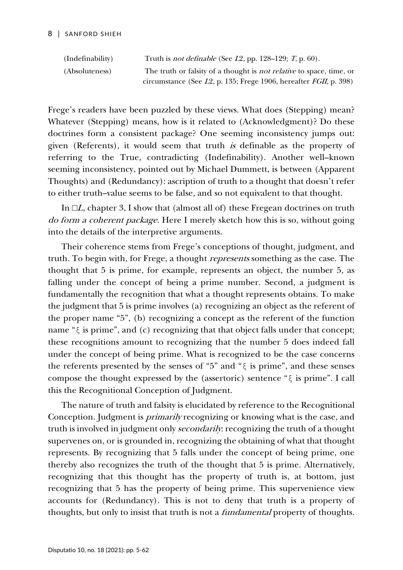| (Indefinability) | Truth is <i>not definable</i> (See $L2$ , pp. 128–129; T, p. 60).            |
|------------------|------------------------------------------------------------------------------|
| (Absoluteness)   | The truth or falsity of a thought is <i>not relative</i> to space, time, or  |
|                  | circumstance (See $L2$ , p. 135; Frege 1906, hereafter <i>FGII</i> , p. 398) |

Frege's readers have been puzzled by these views. What does (Stepping) mean? Whatever (Stepping) means, how is it related to (Acknowledgment)? Do these doctrines form a consistent package? One seeming inconsistency jumps out: given (Referents), it would seem that truth is definable as the property of referring to the True, contradicting (Indefinability). Another well–known seeming inconsistency, pointed out by Michael Dummett, is between (Apparent Thoughts) and (Redundancy): ascription of truth to a thought that doesn't refer to either truth–value seems to be false, and so not equivalent to that thought.

In  $\Box L$ , chapter 3, I show that (almost all of) these Fregean doctrines on truth do form a coherent package. Here I merely sketch how this is so, without going into the details of the interpretive arguments.

Their coherence stems from Frege's conceptions of thought, judgment, and truth. To begin with, for Frege, a thought represents something as the case. The thought that 5 is prime, for example, represents an object, the number 5, as falling under the concept of being a prime number. Second, a judgment is fundamentally the recognition that what a thought represents obtains. To make the judgment that 5 is prime involves (a) recognizing an object as the referent of the proper name "5", (b) recognizing a concept as the referent of the function name "ξ is prime", and (c) recognizing that that object falls under that concept; these recognitions amount to recognizing that the number 5 does indeed fall under the concept of being prime. What is recognized to be the case concerns the referents presented by the senses of "5" and " $\xi$  is prime", and these senses compose the thought expressed by the (assertoric) sentence "ξ is prime". I call this the Recognitional Conception of Judgment.

The nature of truth and falsity is elucidated by reference to the Recognitional Conception. Judgment is primarily recognizing or knowing what is the case, and truth is involved in judgment only secondarily: recognizing the truth of a thought supervenes on, or is grounded in, recognizing the obtaining of what that thought represents. By recognizing that 5 falls under the concept of being prime, one thereby also recognizes the truth of the thought that 5 is prime. Alternatively, recognizing that this thought has the property of truth is, at bottom, just recognizing that 5 has the property of being prime. This supervenience view accounts for (Redundancy). This is not to deny that truth is a property of thoughts, but only to insist that truth is not a *fundamental* property of thoughts.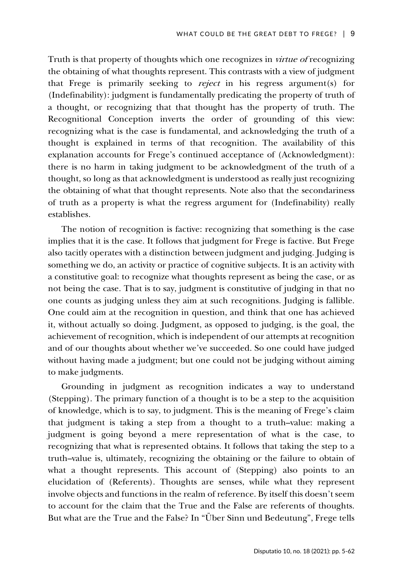Truth is that property of thoughts which one recognizes in virtue of recognizing the obtaining of what thoughts represent. This contrasts with a view of judgment that Frege is primarily seeking to reject in his regress argument(s) for (Indefinability): judgment is fundamentally predicating the property of truth of a thought, or recognizing that that thought has the property of truth. The Recognitional Conception inverts the order of grounding of this view: recognizing what is the case is fundamental, and acknowledging the truth of a thought is explained in terms of that recognition. The availability of this explanation accounts for Frege's continued acceptance of (Acknowledgment): there is no harm in taking judgment to be acknowledgment of the truth of a thought, so long as that acknowledgment is understood as really just recognizing the obtaining of what that thought represents. Note also that the secondariness of truth as a property is what the regress argument for (Indefinability) really establishes.

The notion of recognition is factive: recognizing that something is the case implies that it is the case. It follows that judgment for Frege is factive. But Frege also tacitly operates with a distinction between judgment and judging. Judging is something we do, an activity or practice of cognitive subjects. It is an activity with a constitutive goal: to recognize what thoughts represent as being the case, or as not being the case. That is to say, judgment is constitutive of judging in that no one counts as judging unless they aim at such recognitions. Judging is fallible. One could aim at the recognition in question, and think that one has achieved it, without actually so doing. Judgment, as opposed to judging, is the goal, the achievement of recognition, which is independent of our attempts at recognition and of our thoughts about whether we've succeeded. So one could have judged without having made a judgment; but one could not be judging without aiming to make judgments.

Grounding in judgment as recognition indicates a way to understand (Stepping). The primary function of a thought is to be a step to the acquisition of knowledge, which is to say, to judgment. This is the meaning of Frege's claim that judgment is taking a step from a thought to a truth–value: making a judgment is going beyond a mere representation of what is the case, to recognizing that what is represented obtains. It follows that taking the step to a truth–value is, ultimately, recognizing the obtaining or the failure to obtain of what a thought represents. This account of (Stepping) also points to an elucidation of (Referents). Thoughts are senses, while what they represent involve objects and functions in the realm of reference. By itself this doesn't seem to account for the claim that the True and the False are referents of thoughts. But what are the True and the False? In "Über Sinn und Bedeutung", Frege tells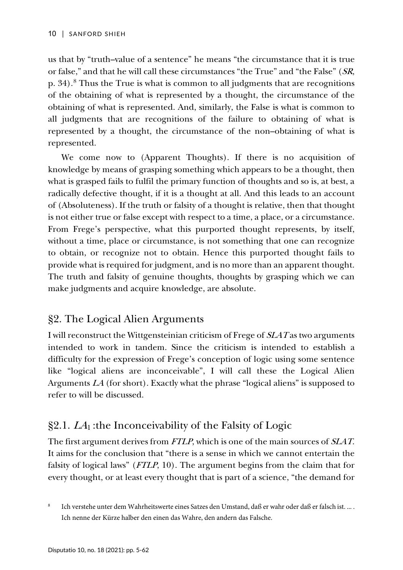us that by "truth–value of a sentence" he means "the circumstance that it is true or false," and that he will call these circumstances "the True" and "the False" (SR, p. 34). [8](#page-5-0) Thus the True is what is common to all judgments that are recognitions of the obtaining of what is represented by a thought, the circumstance of the obtaining of what is represented. And, similarly, the False is what is common to all judgments that are recognitions of the failure to obtaining of what is represented by a thought, the circumstance of the non–obtaining of what is represented.

We come now to (Apparent Thoughts). If there is no acquisition of knowledge by means of grasping something which appears to be a thought, then what is grasped fails to fulfil the primary function of thoughts and so is, at best, a radically defective thought, if it is a thought at all. And this leads to an account of (Absoluteness). If the truth or falsity of a thought is relative, then that thought is not either true or false except with respect to a time, a place, or a circumstance. From Frege's perspective, what this purported thought represents, by itself, without a time, place or circumstance, is not something that one can recognize to obtain, or recognize not to obtain. Hence this purported thought fails to provide what is required for judgment, and is no more than an apparent thought. The truth and falsity of genuine thoughts, thoughts by grasping which we can make judgments and acquire knowledge, are absolute.

# §2. The Logical Alien Arguments

I will reconstruct the Wittgensteinian criticism of Frege of SLAT as two arguments intended to work in tandem. Since the criticism is intended to establish a difficulty for the expression of Frege's conception of logic using some sentence like "logical aliens are inconceivable", I will call these the Logical Alien Arguments LA (for short). Exactly what the phrase "logical aliens" is supposed to refer to will be discussed.

# $\S 2.1. L<sub>A<sub>1</sub></sub>$ : the Inconceivability of the Falsity of Logic

The first argument derives from FTLP, which is one of the main sources of SLAT. It aims for the conclusion that "there is a sense in which we cannot entertain the falsity of logical laws" (FTLP, 10). The argument begins from the claim that for every thought, or at least every thought that is part of a science, "the demand for

<span id="page-5-0"></span>Ich verstehe unter dem Wahrheitswerte eines Satzes den Umstand, daß er wahr oder daß er falsch ist. ... . Ich nenne der Kürze halber den einen das Wahre, den andern das Falsche.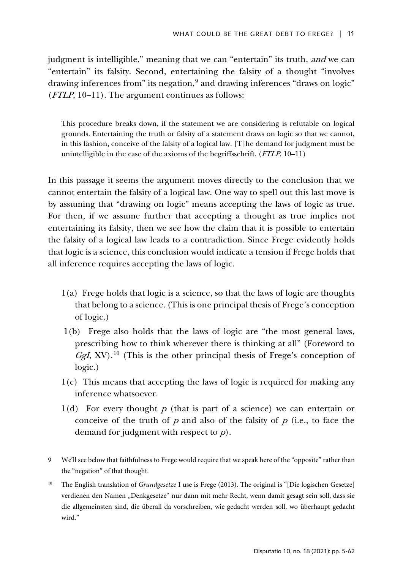judgment is intelligible," meaning that we can "entertain" its truth, and we can "entertain" its falsity. Second, entertaining the falsity of a thought "involves drawing inferences from" its negation,<sup>[9](#page-6-0)</sup> and drawing inferences "draws on logic" (FTLP, 10–11). The argument continues as follows:

This procedure breaks down, if the statement we are considering is refutable on logical grounds. Entertaining the truth or falsity of a statement draws on logic so that we cannot, in this fashion, conceive of the falsity of a logical law. [T]he demand for judgment must be unintelligible in the case of the axioms of the begriffsschrift. (FTLP, 10–11)

In this passage it seems the argument moves directly to the conclusion that we cannot entertain the falsity of a logical law. One way to spell out this last move is by assuming that "drawing on logic" means accepting the laws of logic as true. For then, if we assume further that accepting a thought as true implies not entertaining its falsity, then we see how the claim that it is possible to entertain the falsity of a logical law leads to a contradiction. Since Frege evidently holds that logic is a science, this conclusion would indicate a tension if Frege holds that all inference requires accepting the laws of logic.

- 1(a) Frege holds that logic is a science, so that the laws of logic are thoughts that belong to a science. (This is one principal thesis of Frege's conception of logic.)
- 1(b) Frege also holds that the laws of logic are "the most general laws, prescribing how to think wherever there is thinking at all" (Foreword to  $Ggl$ , XV).<sup>[10](#page-6-1)</sup> (This is the other principal thesis of Frege's conception of logic.)
- 1(c) This means that accepting the laws of logic is required for making any inference whatsoever.
- 1(d) For every thought  $p$  (that is part of a science) we can entertain or conceive of the truth of  $p$  and also of the falsity of  $p$  (i.e., to face the demand for judgment with respect to <sup>p</sup>).
- <span id="page-6-0"></span>9 We'll see below that faithfulness to Frege would require that we speak here of the "opposite" rather than the "negation" of that thought.
- <span id="page-6-1"></span><sup>10</sup> The English translation of *Grundgesetze* I use is Frege (2013). The original is "[Die logischen Gesetze] verdienen den Namen "Denkgesetze" nur dann mit mehr Recht, wenn damit gesagt sein soll, dass sie die allgemeinsten sind, die überall da vorschreiben, wie gedacht werden soll, wo überhaupt gedacht wird."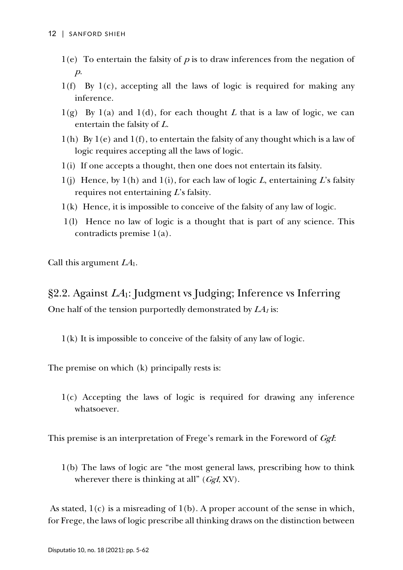- $1(e)$  To entertain the falsity of p is to draw inferences from the negation of  $p$ .
- 1(f) By 1(c), accepting all the laws of logic is required for making any inference.
- $1(g)$  By  $1(a)$  and  $1(d)$ , for each thought L that is a law of logic, we can entertain the falsity of <sup>L</sup>.
- $1(h)$  By  $1(e)$  and  $1(f)$ , to entertain the falsity of any thought which is a law of logic requires accepting all the laws of logic.
- 1(i) If one accepts a thought, then one does not entertain its falsity.
- $1(j)$  Hence, by  $1(h)$  and  $1(i)$ , for each law of logic L, entertaining L's falsity requires not entertaining  $L$ 's falsity.
- 1(k) Hence, it is impossible to conceive of the falsity of any law of logic.
- 1(l) Hence no law of logic is a thought that is part of any science. This contradicts premise 1(a).

Call this argument  $LA<sub>1</sub>$ .

 $\S2.2$ . Against  $LA_1$ : Judgment vs Judging; Inference vs Inferring One half of the tension purportedly demonstrated by  $LA<sub>1</sub>$  is:

1(k) It is impossible to conceive of the falsity of any law of logic.

The premise on which (k) principally rests is:

1(c) Accepting the laws of logic is required for drawing any inference whatsoever.

This premise is an interpretation of Frege's remark in the Foreword of *GgI*:

1(b) The laws of logic are "the most general laws, prescribing how to think wherever there is thinking at all"  $(GgI, XV)$ .

As stated,  $1(c)$  is a misreading of  $1(b)$ . A proper account of the sense in which, for Frege, the laws of logic prescribe all thinking draws on the distinction between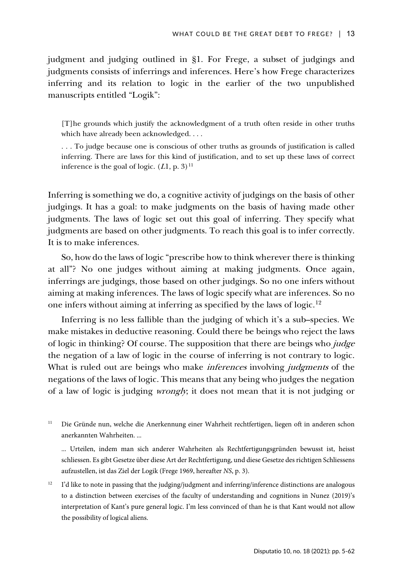judgment and judging outlined in §1. For Frege, a subset of judgings and judgments consists of inferrings and inferences. Here's how Frege characterizes inferring and its relation to logic in the earlier of the two unpublished manuscripts entitled "Logik":

[T]he grounds which justify the acknowledgment of a truth often reside in other truths which have already been acknowledged. . . .

. . . To judge because one is conscious of other truths as grounds of justification is called inferring. There are laws for this kind of justification, and to set up these laws of correct inference is the goal of logic.  $(L1, p. 3)^{11}$ 

Inferring is something we do, a cognitive activity of judgings on the basis of other judgings. It has a goal: to make judgments on the basis of having made other judgments. The laws of logic set out this goal of inferring. They specify what judgments are based on other judgments. To reach this goal is to infer correctly. It is to make inferences.

So, how do the laws of logic "prescribe how to think wherever there is thinking at all"? No one judges without aiming at making judgments. Once again, inferrings are judgings, those based on other judgings. So no one infers without aiming at making inferences. The laws of logic specify what are inferences. So no one infers without aiming at inferring as specified by the laws of logic.[12](#page-8-1)

Inferring is no less fallible than the judging of which it's a sub–species. We make mistakes in deductive reasoning. Could there be beings who reject the laws of logic in thinking? Of course. The supposition that there are beings who *judge* the negation of a law of logic in the course of inferring is not contrary to logic. What is ruled out are beings who make *inferences* involving *judgments* of the negations of the laws of logic. This means that any being who judges the negation of a law of logic is judging *wrongly*; it does not mean that it is not judging or

<span id="page-8-0"></span><sup>11</sup> Die Gründe nun, welche die Anerkennung einer Wahrheit rechtfertigen, liegen oft in anderen schon anerkannten Wahrheiten. ...

... Urteilen, indem man sich anderer Wahrheiten als Rechtfertigungsgründen bewusst ist, heisst schliessen. Es gibt Gesetze über diese Art der Rechtfertigung, und diese Gesetze des richtigen Schliessens aufzustellen, ist das Ziel der Logik (Frege 1969, hereafter *NS*, p. 3).

<span id="page-8-1"></span><sup>12</sup> I'd like to note in passing that the judging/judgment and inferring/inference distinctions are analogous to a distinction between exercises of the faculty of understanding and cognitions in Nunez (2019)'s interpretation of Kant's pure general logic. I'm less convinced of than he is that Kant would not allow the possibility of logical aliens.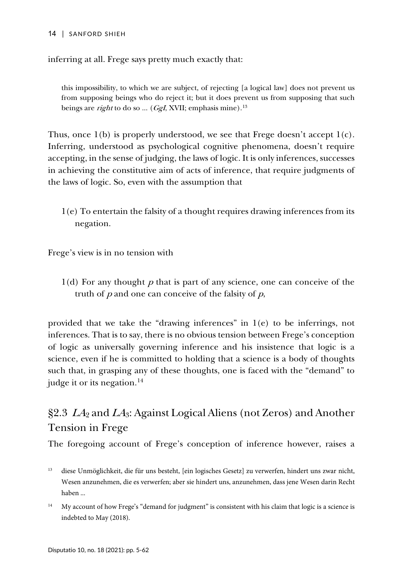#### 14 | SANFORD SHIEH

inferring at all. Frege says pretty much exactly that:

this impossibility, to which we are subject, of rejecting [a logical law] does not prevent us from supposing beings who do reject it; but it does prevent us from supposing that such beings are *right* to do so ... (*GgI*, XVII; emphasis mine).<sup>13</sup>

Thus, once 1(b) is properly understood, we see that Frege doesn't accept 1(c). Inferring, understood as psychological cognitive phenomena, doesn't require accepting, in the sense of judging, the laws of logic. It is only inferences, successes in achieving the constitutive aim of acts of inference, that require judgments of the laws of logic. So, even with the assumption that

1(e) To entertain the falsity of a thought requires drawing inferences from its negation.

Frege's view is in no tension with

 $1(d)$  For any thought p that is part of any science, one can conceive of the truth of  $p$  and one can conceive of the falsity of  $p$ ,

provided that we take the "drawing inferences" in 1(e) to be inferrings, not inferences. That is to say, there is no obvious tension between Frege's conception of logic as universally governing inference and his insistence that logic is a science, even if he is committed to holding that a science is a body of thoughts such that, in grasping any of these thoughts, one is faced with the "demand" to judge it or its negation. $14$ 

# $\S 2.3$   $LA_2$  and  $LA_3$ : Against Logical Aliens (not Zeros) and Another Tension in Frege

The foregoing account of Frege's conception of inference however, raises a

<span id="page-9-1"></span><sup>14</sup> My account of how Frege's "demand for judgment" is consistent with his claim that logic is a science is indebted to May (2018).

<span id="page-9-0"></span><sup>13</sup> diese Unmöglichkeit, die für uns besteht, [ein logisches Gesetz] zu verwerfen, hindert uns zwar nicht, Wesen anzunehmen, die es verwerfen; aber sie hindert uns, anzunehmen, dass jene Wesen darin Recht haben ...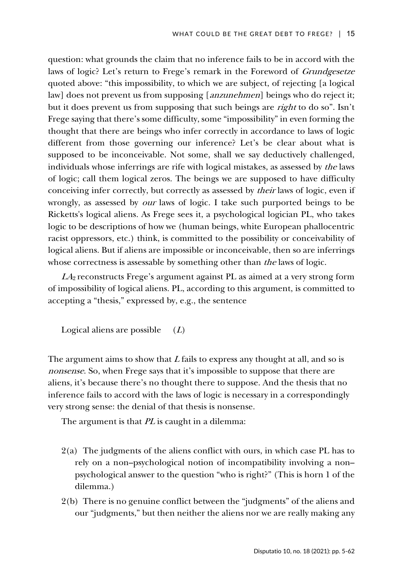question: what grounds the claim that no inference fails to be in accord with the laws of logic? Let's return to Frege's remark in the Foreword of Grundgesetze quoted above: "this impossibility, to which we are subject, of rejecting [a logical law] does not prevent us from supposing [anzunehmen] beings who do reject it; but it does prevent us from supposing that such beings are right to do so". Isn't Frege saying that there's some difficulty, some "impossibility" in even forming the thought that there are beings who infer correctly in accordance to laws of logic different from those governing our inference? Let's be clear about what is supposed to be inconceivable. Not some, shall we say deductively challenged, individuals whose inferrings are rife with logical mistakes, as assessed by the laws of logic; call them logical zeros. The beings we are supposed to have difficulty conceiving infer correctly, but correctly as assessed by their laws of logic, even if wrongly, as assessed by our laws of logic. I take such purported beings to be Ricketts's logical aliens. As Frege sees it, a psychological logician PL, who takes logic to be descriptions of how we (human beings, white European phallocentric racist oppressors, etc.) think, is committed to the possibility or conceivability of logical aliens. But if aliens are impossible or inconceivable, then so are inferrings whose correctness is assessable by something other than *the* laws of logic.

 $LA<sub>2</sub>$  reconstructs Frege's argument against PL as aimed at a very strong form of impossibility of logical aliens. PL, according to this argument, is committed to accepting a "thesis," expressed by, e.g., the sentence

Logical aliens are possible  $(L)$ 

The argument aims to show that  $L$  fails to express any thought at all, and so is nonsense. So, when Frege says that it's impossible to suppose that there are aliens, it's because there's no thought there to suppose. And the thesis that no inference fails to accord with the laws of logic is necessary in a correspondingly very strong sense: the denial of that thesis is nonsense.

The argument is that PL is caught in a dilemma:

- 2(a) The judgments of the aliens conflict with ours, in which case PL has to rely on a non–psychological notion of incompatibility involving a non– psychological answer to the question "who is right?" (This is horn 1 of the dilemma.)
- 2(b) There is no genuine conflict between the "judgments" of the aliens and our "judgments," but then neither the aliens nor we are really making any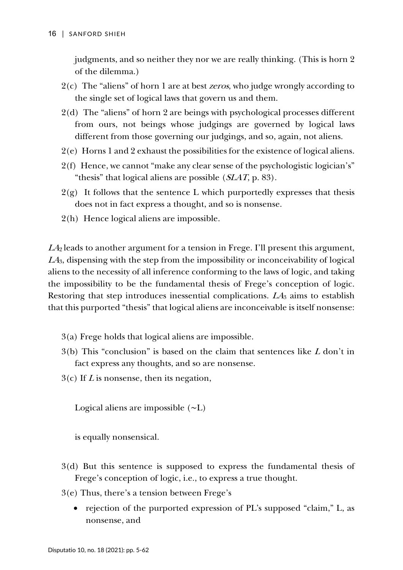judgments, and so neither they nor we are really thinking. (This is horn 2 of the dilemma.)

- 2(c) The "aliens" of horn 1 are at best zeros, who judge wrongly according to the single set of logical laws that govern us and them.
- 2(d) The "aliens" of horn 2 are beings with psychological processes different from ours, not beings whose judgings are governed by logical laws different from those governing our judgings, and so, again, not aliens.
- 2(e) Horns 1 and 2 exhaust the possibilities for the existence of logical aliens.
- 2(f) Hence, we cannot "make any clear sense of the psychologistic logician's" "thesis" that logical aliens are possible  $(SLAT, p. 83)$ .
- $2(g)$  It follows that the sentence L which purportedly expresses that thesis does not in fact express a thought, and so is nonsense.
- 2(h) Hence logical aliens are impossible.

 $LA<sub>2</sub>$  leads to another argument for a tension in Frege. I'll present this argument, LA3, dispensing with the step from the impossibility or inconceivability of logical aliens to the necessity of all inference conforming to the laws of logic, and taking the impossibility to be the fundamental thesis of Frege's conception of logic. Restoring that step introduces inessential complications.  $LA_3$  aims to establish that this purported "thesis" that logical aliens are inconceivable is itself nonsense:

- 3(a) Frege holds that logical aliens are impossible.
- $3(b)$  This "conclusion" is based on the claim that sentences like L don't in fact express any thoughts, and so are nonsense.
- $3(c)$  If L is nonsense, then its negation,

Logical aliens are impossible (∼L)

is equally nonsensical.

- 3(d) But this sentence is supposed to express the fundamental thesis of Frege's conception of logic, i.e., to express a true thought.
- 3(e) Thus, there's a tension between Frege's
	- rejection of the purported expression of PL's supposed "claim," L, as nonsense, and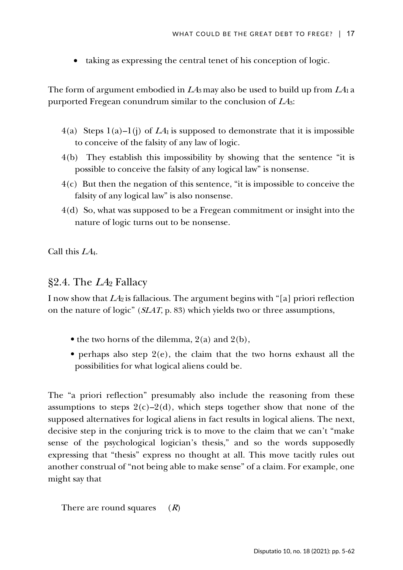• taking as expressing the central tenet of his conception of logic.

The form of argument embodied in  $L4_3$  may also be used to build up from  $L4_1$  a purported Fregean conundrum similar to the conclusion of  $LA<sub>3</sub>$ :

- $4(a)$  Steps  $1(a)-1(j)$  of  $LA<sub>1</sub>$  is supposed to demonstrate that it is impossible to conceive of the falsity of any law of logic.
- 4(b) They establish this impossibility by showing that the sentence "it is possible to conceive the falsity of any logical law" is nonsense.
- 4(c) But then the negation of this sentence, "it is impossible to conceive the falsity of any logical law" is also nonsense.
- 4(d) So, what was supposed to be a Fregean commitment or insight into the nature of logic turns out to be nonsense.

Call this LA4.

### §2.4. The  $LA_2$  Fallacy

I now show that  $L4_2$  is fallacious. The argument begins with "[a] priori reflection on the nature of logic" (SLAT, p. 83) which yields two or three assumptions,

- the two horns of the dilemma, 2(a) and 2(b),
- perhaps also step  $2(e)$ , the claim that the two horns exhaust all the possibilities for what logical aliens could be.

The "a priori reflection" presumably also include the reasoning from these assumptions to steps  $2(c)-2(d)$ , which steps together show that none of the supposed alternatives for logical aliens in fact results in logical aliens. The next, decisive step in the conjuring trick is to move to the claim that we can't "make sense of the psychological logician's thesis," and so the words supposedly expressing that "thesis" express no thought at all. This move tacitly rules out another construal of "not being able to make sense" of a claim. For example, one might say that

There are round squares  $(R)$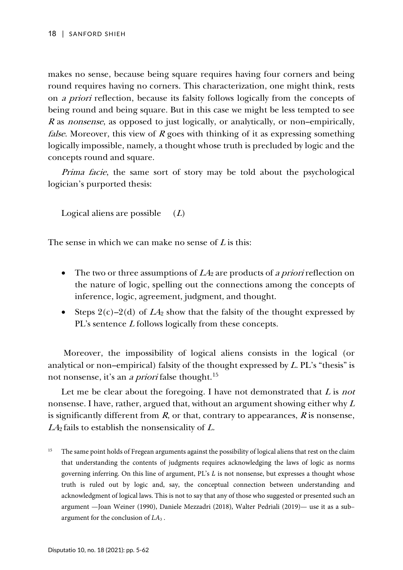makes no sense, because being square requires having four corners and being round requires having no corners. This characterization, one might think, rests on a priori reflection, because its falsity follows logically from the concepts of being round and being square. But in this case we might be less tempted to see <sup>R</sup> as nonsense, as opposed to just logically, or analytically, or non–empirically, *false*. Moreover, this view of  $R$  goes with thinking of it as expressing something logically impossible, namely, a thought whose truth is precluded by logic and the concepts round and square.

*Prima facie*, the same sort of story may be told about the psychological logician's purported thesis:

Logical aliens are possible  $(L)$ 

The sense in which we can make no sense of  *is this:* 

- The two or three assumptions of  $L4_2$  are products of a priori reflection on the nature of logic, spelling out the connections among the concepts of inference, logic, agreement, judgment, and thought.
- Steps  $2(c)-2(d)$  of  $LA_2$  show that the falsity of the thought expressed by PL's sentence L follows logically from these concepts.

Moreover, the impossibility of logical aliens consists in the logical (or analytical or non–empirical) falsity of the thought expressed by L. PL's "thesis" is not nonsense, it's an *a priori* false thought.<sup>[15](#page-13-0)</sup>

Let me be clear about the foregoing. I have not demonstrated that  $L$  is not nonsense. I have, rather, argued that, without an argument showing either why  $L$ is significantly different from  $R$ , or that, contrary to appearances,  $R$  is nonsense,  $LA<sub>2</sub>$  fails to establish the nonsensicality of L.

<span id="page-13-0"></span><sup>&</sup>lt;sup>15</sup> The same point holds of Fregean arguments against the possibility of logical aliens that rest on the claim that understanding the contents of judgments requires acknowledging the laws of logic as norms governing inferring. On this line of argument,  $PL's L$  is not nonsense, but expresses a thought whose truth is ruled out by logic and, say, the conceptual connection between understanding and acknowledgment of logical laws. This is not to say that any of those who suggested or presented such an argument —Joan Weiner (1990), Daniele Mezzadri (2018), Walter Pedriali (2019)— use it as a sub– argument for the conclusion of *LA*<sup>3</sup> .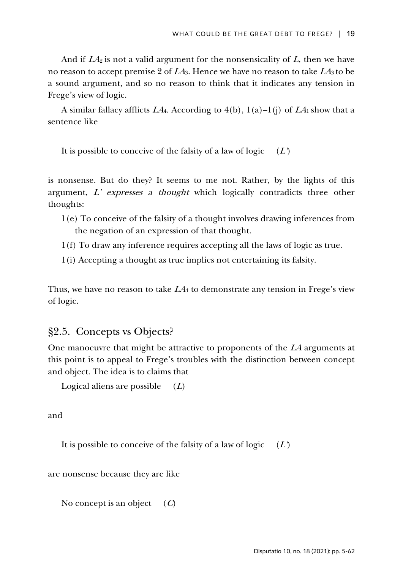And if  $LA_2$  is not a valid argument for the nonsensicality of  $L$ , then we have no reason to accept premise 2 of  $LA_3$ . Hence we have no reason to take  $LA_3$  to be a sound argument, and so no reason to think that it indicates any tension in Frege's view of logic.

A similar fallacy afflicts  $LA_4$ . According to 4(b), 1(a)–1(j) of  $LA_1$  show that a sentence like

It is possible to conceive of the falsity of a law of logic  $(L)$ 

is nonsense. But do they? It seems to me not. Rather, by the lights of this argument, L' expresses a thought which logically contradicts three other thoughts:

- 1(e) To conceive of the falsity of a thought involves drawing inferences from the negation of an expression of that thought.
- 1(f) To draw any inference requires accepting all the laws of logic as true.
- 1(i) Accepting a thought as true implies not entertaining its falsity.

Thus, we have no reason to take  $L4_4$  to demonstrate any tension in Frege's view of logic.

### §2.5. Concepts vs Objects?

One manoeuvre that might be attractive to proponents of the LA arguments at this point is to appeal to Frege's troubles with the distinction between concept and object. The idea is to claims that

Logical aliens are possible  $(L)$ 

and

It is possible to conceive of the falsity of a law of logic  $(L)$ 

are nonsense because they are like

No concept is an object  $(C)$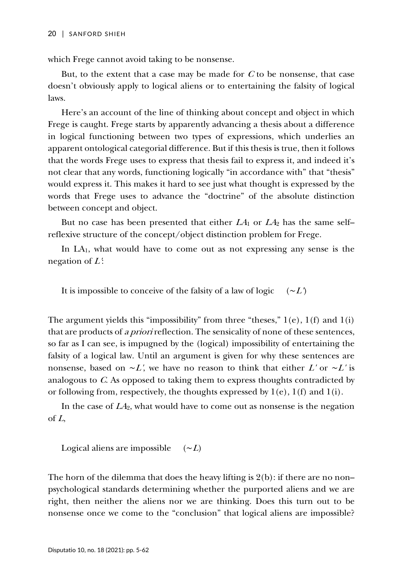which Frege cannot avoid taking to be nonsense.

But, to the extent that a case may be made for  $C$  to be nonsense, that case doesn't obviously apply to logical aliens or to entertaining the falsity of logical laws.

Here's an account of the line of thinking about concept and object in which Frege is caught. Frege starts by apparently advancing a thesis about a difference in logical functioning between two types of expressions, which underlies an apparent ontological categorial difference. But if this thesis is true, then it follows that the words Frege uses to express that thesis fail to express it, and indeed it's not clear that any words, functioning logically "in accordance with" that "thesis" would express it. This makes it hard to see just what thought is expressed by the words that Frege uses to advance the "doctrine" of the absolute distinction between concept and object.

But no case has been presented that either  $LA_1$  or  $LA_2$  has the same selfreflexive structure of the concept/object distinction problem for Frege.

In LA1, what would have to come out as not expressing any sense is the negation of  $L$ :

It is impossible to conceive of the falsity of a law of logic  $(\sim L)$ 

The argument yields this "impossibility" from three "theses,"  $1(e)$ ,  $1(f)$  and  $1(i)$ that are products of a priori reflection. The sensicality of none of these sentences, so far as I can see, is impugned by the (logical) impossibility of entertaining the falsity of a logical law. Until an argument is given for why these sentences are nonsense, based on  $\sim L'$ , we have no reason to think that either L' or  $\sim L'$  is analogous to C. As opposed to taking them to express thoughts contradicted by or following from, respectively, the thoughts expressed by 1(e), 1(f) and 1(i).

In the case of  $LA<sub>2</sub>$ , what would have to come out as nonsense is the negation of <sup>L</sup>,

Logical aliens are impossible  $(\sim L)$ 

The horn of the dilemma that does the heavy lifting is 2(b): if there are no non– psychological standards determining whether the purported aliens and we are right, then neither the aliens nor we are thinking. Does this turn out to be nonsense once we come to the "conclusion" that logical aliens are impossible?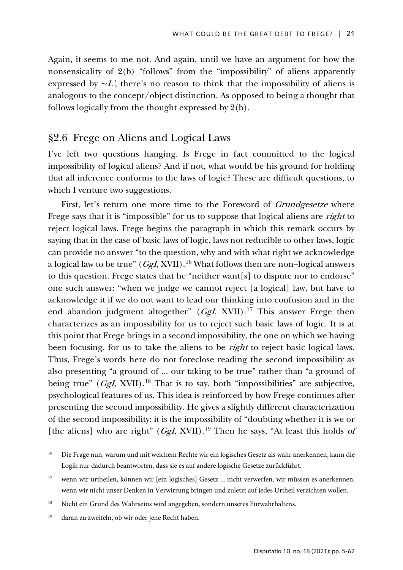Again, it seems to me not. And again, until we have an argument for how the nonsensicality of 2(b) "follows" from the "impossibility" of aliens apparently expressed by  $\sim L'$ , there's no reason to think that the impossibility of aliens is analogous to the concept/object distinction. As opposed to being a thought that follows logically from the thought expressed by 2(b).

### §2.6 Frege on Aliens and Logical Laws

I've left two questions hanging. Is Frege in fact committed to the logical impossibility of logical aliens? And if not, what would be his ground for holding that all inference conforms to the laws of logic? These are difficult questions, to which I venture two suggestions.

First, let's return one more time to the Foreword of *Grundgesetze* where Frege says that it is "impossible" for us to suppose that logical aliens are *right* to reject logical laws. Frege begins the paragraph in which this remark occurs by saying that in the case of basic laws of logic, laws not reducible to other laws, logic can provide no answer "to the question, why and with what right we acknowledge a logical law to be true" (*GgI*, XVII).<sup>[16](#page-16-0)</sup> What follows then are non–logical answers to this question. Frege states that he "neither want[s] to dispute nor to endorse" one such answer: "when we judge we cannot reject [a logical] law, but have to acknowledge it if we do not want to lead our thinking into confusion and in the end abandon judgment altogether"  $(GgI, XVII).<sup>17</sup>$  $(GgI, XVII).<sup>17</sup>$  $(GgI, XVII).<sup>17</sup>$  This answer Frege then characterizes as an impossibility for us to reject such basic laws of logic. It is at this point that Frege brings in a second impossibility, the one on which we having been focusing, for us to take the aliens to be *right* to reject basic logical laws. Thus, Frege's words here do not foreclose reading the second impossibility as also presenting "a ground of ... our taking to be true" rather than "a ground of being true" ( $Ggl$ , XVII).<sup>[18](#page-16-2)</sup> That is to say, both "impossibilities" are subjective, psychological features of us. This idea is reinforced by how Frege continues after presenting the second impossibility. He gives a slightly different characterization of the second impossibility: it is the impossibility of "doubting whether it is we or [the aliens] who are right" (*GgI*, XVII).<sup>[19](#page-16-3)</sup> Then he says, "At least this holds of

<span id="page-16-2"></span><sup>18</sup> Nicht ein Grund des Wahrseins wird angegeben, sondern unseres Fürwahrhaltens.

<span id="page-16-3"></span><sup>19</sup> daran zu zweifeln, ob wir oder jene Recht haben.

<span id="page-16-0"></span><sup>16</sup> Die Frage nun, warum und mit welchem Rechte wir ein logisches Gesetz als wahr anerkennen, kann die Logik nur dadurch beantworten, dass sie es auf andere logische Gesetze zurückführt.

<span id="page-16-1"></span><sup>17</sup> wenn wir urtheilen, können wir [ein logisches] Gesetz ... nicht verwerfen, wir müssen es anerkennen, wenn wir nicht unser Denken in Verwirrung bringen und zuletzt auf jedes Urtheil verzichten wollen.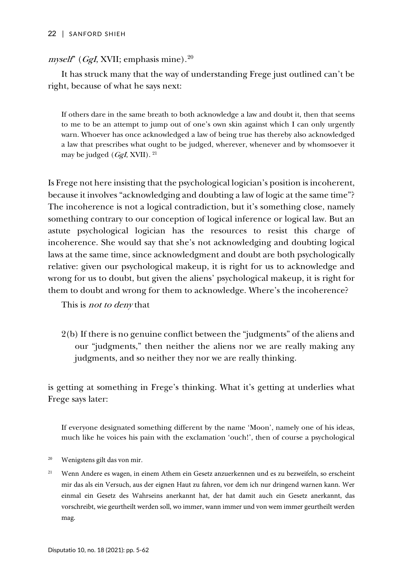#### 22 | SANFORD SHIEH

### *myself*" (*GgI*, XVII; emphasis mine).<sup>[20](#page-17-0)</sup>

It has struck many that the way of understanding Frege just outlined can't be right, because of what he says next:

If others dare in the same breath to both acknowledge a law and doubt it, then that seems to me to be an attempt to jump out of one's own skin against which I can only urgently warn. Whoever has once acknowledged a law of being true has thereby also acknowledged a law that prescribes what ought to be judged, wherever, whenever and by whomsoever it may be judged  $(GgI, XVII)$ . <sup>[21](#page-17-1)</sup>

Is Frege not here insisting that the psychological logician's position is incoherent, because it involves "acknowledging and doubting a law of logic at the same time"? The incoherence is not a logical contradiction, but it's something close, namely something contrary to our conception of logical inference or logical law. But an astute psychological logician has the resources to resist this charge of incoherence. She would say that she's not acknowledging and doubting logical laws at the same time, since acknowledgment and doubt are both psychologically relative: given our psychological makeup, it is right for us to acknowledge and wrong for us to doubt, but given the aliens' psychological makeup, it is right for them to doubt and wrong for them to acknowledge. Where's the incoherence?

This is *not to deny* that

2(b) If there is no genuine conflict between the "judgments" of the aliens and our "judgments," then neither the aliens nor we are really making any judgments, and so neither they nor we are really thinking.

is getting at something in Frege's thinking. What it's getting at underlies what Frege says later:

If everyone designated something different by the name 'Moon', namely one of his ideas, much like he voices his pain with the exclamation 'ouch!', then of course a psychological

- <span id="page-17-0"></span><sup>20</sup> Wenigstens gilt das von mir.
- <span id="page-17-1"></span><sup>21</sup> Wenn Andere es wagen, in einem Athem ein Gesetz anzuerkennen und es zu bezweifeln, so erscheint mir das als ein Versuch, aus der eignen Haut zu fahren, vor dem ich nur dringend warnen kann. Wer einmal ein Gesetz des Wahrseins anerkannt hat, der hat damit auch ein Gesetz anerkannt, das vorschreibt, wie geurtheilt werden soll, wo immer, wann immer und von wem immer geurtheilt werden mag.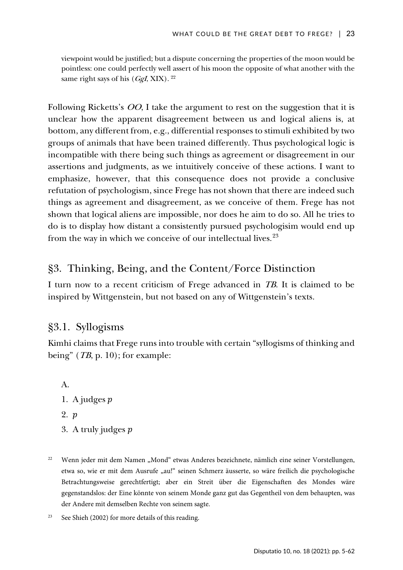viewpoint would be justified; but a dispute concerning the properties of the moon would be pointless: one could perfectly well assert of his moon the opposite of what another with the same right says of his  $(GgI, XIX)$ . <sup>[22](#page-18-0)</sup>

Following Ricketts's OO, I take the argument to rest on the suggestion that it is unclear how the apparent disagreement between us and logical aliens is, at bottom, any different from, e.g., differential responses to stimuli exhibited by two groups of animals that have been trained differently. Thus psychological logic is incompatible with there being such things as agreement or disagreement in our assertions and judgments, as we intuitively conceive of these actions. I want to emphasize, however, that this consequence does not provide a conclusive refutation of psychologism, since Frege has not shown that there are indeed such things as agreement and disagreement, as we conceive of them. Frege has not shown that logical aliens are impossible, nor does he aim to do so. All he tries to do is to display how distant a consistently pursued psychologisim would end up from the way in which we conceive of our intellectual lives.<sup>[23](#page-18-1)</sup>

# §3. Thinking, Being, and the Content/Force Distinction

I turn now to a recent criticism of Frege advanced in TB. It is claimed to be inspired by Wittgenstein, but not based on any of Wittgenstein's texts.

# §3.1. Syllogisms

Kimhi claims that Frege runs into trouble with certain "syllogisms of thinking and being" (*TB*, p. 10); for example:

A.

- 1. A judges  $p$
- 2. *p*
- 3. A truly judges  $p$
- <span id="page-18-0"></span><sup>22</sup> Wenn jeder mit dem Namen "Mond" etwas Anderes bezeichnete, nämlich eine seiner Vorstellungen, etwa so, wie er mit dem Ausrufe "au!" seinen Schmerz äusserte, so wäre freilich die psychologische Betrachtungsweise gerechtfertigt; aber ein Streit über die Eigenschaften des Mondes wäre gegenstandslos: der Eine könnte von seinem Monde ganz gut das Gegentheil von dem behaupten, was der Andere mit demselben Rechte von seinem sagte.
- <span id="page-18-1"></span><sup>23</sup> See Shieh (2002) for more details of this reading.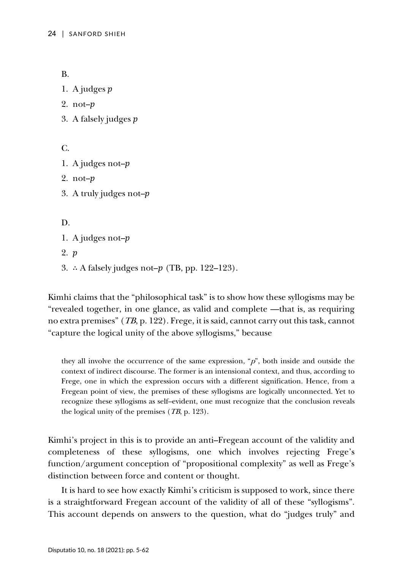B.

- 1. A judges  $p$
- 2. not– $p$
- 3. A falsely judges

C.

- 1. A judges not– $p$
- 2. not– $p$
- 3. A truly judges not–

D.

- 1. A judges not– $p$
- 2. p
- 3. ∴ A falsely judges not– $p$  (TB, pp. 122–123).

Kimhi claims that the "philosophical task" is to show how these syllogisms may be "revealed together, in one glance, as valid and complete —that is, as requiring no extra premises" (TB, p. 122). Frege, it is said, cannot carry out this task, cannot "capture the logical unity of the above syllogisms," because

they all involve the occurrence of the same expression, " $p$ ", both inside and outside the context of indirect discourse. The former is an intensional context, and thus, according to Frege, one in which the expression occurs with a different signification. Hence, from a Fregean point of view, the premises of these syllogisms are logically unconnected. Yet to recognize these syllogisms as self–evident, one must recognize that the conclusion reveals the logical unity of the premises (TB, p. 123).

Kimhi's project in this is to provide an anti–Fregean account of the validity and completeness of these syllogisms, one which involves rejecting Frege's function/argument conception of "propositional complexity" as well as Frege's distinction between force and content or thought.

It is hard to see how exactly Kimhi's criticism is supposed to work, since there is a straightforward Fregean account of the validity of all of these "syllogisms". This account depends on answers to the question, what do "judges truly" and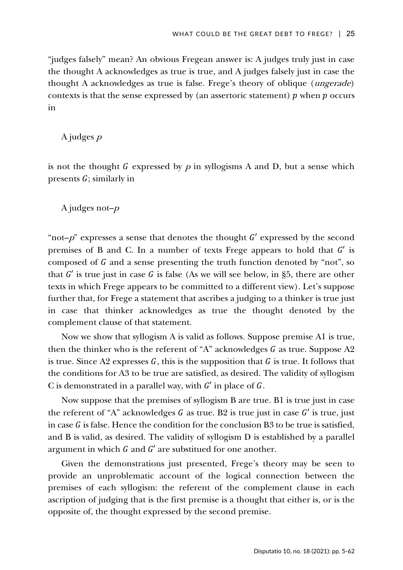"judges falsely" mean? An obvious Fregean answer is: A judges truly just in case the thought A acknowledges as true is true, and A judges falsely just in case the thought A acknowledges as true is false. Frege's theory of oblique (ungerade) contexts is that the sense expressed by (an assertoric statement)  $p$  when  $p$  occurs in

A judges <sup>p</sup>

is not the thought G expressed by  $p$  in syllogisms A and D, but a sense which presents  $G$ ; similarly in

A judges not– $p$ 

"not- $p$ " expresses a sense that denotes the thought  $G'$  expressed by the second premises of B and C. In a number of texts Frege appears to hold that  $G'$  is composed of  $G$  and a sense presenting the truth function denoted by "not", so that  $G'$  is true just in case G is false (As we will see below, in §5, there are other texts in which Frege appears to be committed to a different view). Let's suppose further that, for Frege a statement that ascribes a judging to a thinker is true just in case that thinker acknowledges as true the thought denoted by the complement clause of that statement.

Now we show that syllogism A is valid as follows. Suppose premise A1 is true, then the thinker who is the referent of "A" acknowledges  $G$  as true. Suppose A2 is true. Since A2 expresses  $G$ , this is the supposition that  $G$  is true. It follows that the conditions for A3 to be true are satisfied, as desired. The validity of syllogism C is demonstrated in a parallel way, with  $G'$  in place of  $G$ .

Now suppose that the premises of syllogism B are true. B1 is true just in case the referent of "A" acknowledges  $G$  as true. B2 is true just in case  $G'$  is true, just in case  $G$  is false. Hence the condition for the conclusion B3 to be true is satisfied, and B is valid, as desired. The validity of syllogism D is established by a parallel argument in which  $G$  and  $G'$  are substitued for one another.

Given the demonstrations just presented, Frege's theory may be seen to provide an unproblematic account of the logical connection between the premises of each syllogism: the referent of the complement clause in each ascription of judging that is the first premise is a thought that either is, or is the opposite of, the thought expressed by the second premise.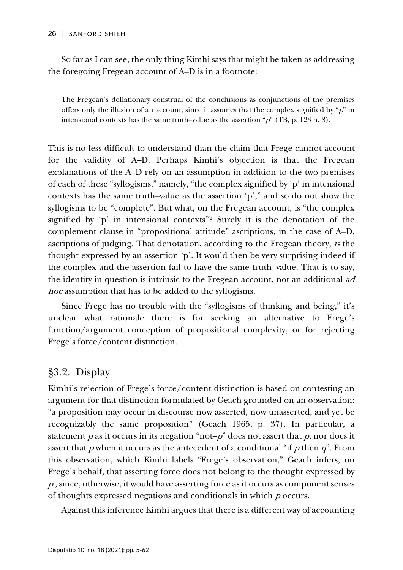#### 26 | SANFORD SHIEH

So far as I can see, the only thing Kimhi says that might be taken as addressing the foregoing Fregean account of A–D is in a footnote:

The Fregean's deflationary construal of the conclusions as conjunctions of the premises offers only the illusion of an account, since it assumes that the complex signified by " $p$ " in intensional contexts has the same truth–value as the assertion " $p$ " (TB, p. 123 n. 8).

This is no less difficult to understand than the claim that Frege cannot account for the validity of A–D. Perhaps Kimhi's objection is that the Fregean explanations of the A–D rely on an assumption in addition to the two premises of each of these "syllogisms," namely, "the complex signified by 'p' in intensional contexts has the same truth–value as the assertion 'p'," and so do not show the syllogisms to be "complete". But what, on the Fregean account, is "the complex signified by 'p' in intensional contexts"? Surely it is the denotation of the complement clause in "propositional attitude" ascriptions, in the case of A–D, ascriptions of judging. That denotation, according to the Fregean theory, is the thought expressed by an assertion 'p'. It would then be very surprising indeed if the complex and the assertion fail to have the same truth–value. That is to say, the identity in question is intrinsic to the Fregean account, not an additional ad hoc assumption that has to be added to the syllogisms.

Since Frege has no trouble with the "syllogisms of thinking and being," it's unclear what rationale there is for seeking an alternative to Frege's function/argument conception of propositional complexity, or for rejecting Frege's force/content distinction.

# §3.2. Display

Kimhi's rejection of Frege's force/content distinction is based on contesting an argument for that distinction formulated by Geach grounded on an observation: "a proposition may occur in discourse now asserted, now unasserted, and yet be recognizably the same proposition" (Geach 1965, p. 37). In particular, a statement  $p$  as it occurs in its negation "not– $p$ " does not assert that  $p$ , nor does it assert that  $p$  when it occurs as the antecedent of a conditional "if  $p$  then  $q$ ". From this observation, which Kimhi labels "Frege's observation," Geach infers, on Frege's behalf, that asserting force does not belong to the thought expressed by <sup>p</sup>, since, otherwise, it would have asserting force as it occurs as component senses of thoughts expressed negations and conditionals in which <sup>p</sup> occurs.

Against this inference Kimhi argues that there is a different way of accounting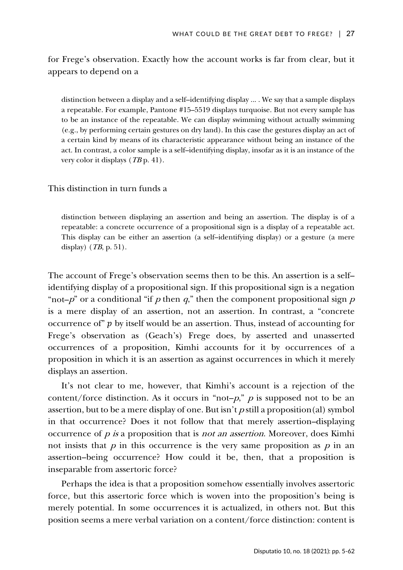for Frege's observation. Exactly how the account works is far from clear, but it appears to depend on a

distinction between a display and a self–identifying display ... . We say that a sample displays a repeatable. For example, Pantone #15–5519 displays turquoise. But not every sample has to be an instance of the repeatable. We can display swimming without actually swimming (e.g., by performing certain gestures on dry land). In this case the gestures display an act of a certain kind by means of its characteristic appearance without being an instance of the act. In contrast, a color sample is a self–identifying display, insofar as it is an instance of the very color it displays  $(TB \, p. 41)$ .

### This distinction in turn funds a

distinction between displaying an assertion and being an assertion. The display is of a repeatable: a concrete occurrence of a propositional sign is a display of a repeatable act. This display can be either an assertion (a self–identifying display) or a gesture (a mere display) (TB, p. 51).

The account of Frege's observation seems then to be this. An assertion is a self– identifying display of a propositional sign. If this propositional sign is a negation "not– $p$ " or a conditional "if p then q," then the component propositional sign p is a mere display of an assertion, not an assertion. In contrast, a "concrete occurrence of"  $p$  by itself would be an assertion. Thus, instead of accounting for Frege's observation as (Geach's) Frege does, by asserted and unasserted occurrences of a proposition, Kimhi accounts for it by occurrences of a proposition in which it is an assertion as against occurrences in which it merely displays an assertion.

It's not clear to me, however, that Kimhi's account is a rejection of the content/force distinction. As it occurs in "not- $p$ ,"  $p$  is supposed not to be an assertion, but to be a mere display of one. But isn't  $p$  still a proposition(al) symbol in that occurrence? Does it not follow that that merely assertion–displaying occurrence of <sup>p</sup> is a proposition that is not an assertion. Moreover, does Kimhi not insists that  $p$  in this occurrence is the very same proposition as  $p$  in an assertion–being occurrence? How could it be, then, that a proposition is inseparable from assertoric force?

Perhaps the idea is that a proposition somehow essentially involves assertoric force, but this assertoric force which is woven into the proposition's being is merely potential. In some occurrences it is actualized, in others not. But this position seems a mere verbal variation on a content/force distinction: content is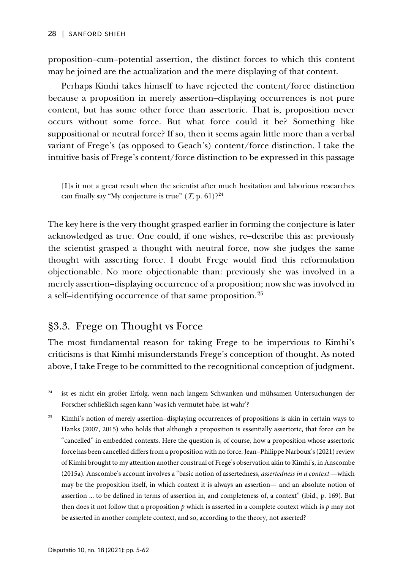proposition–cum–potential assertion, the distinct forces to which this content may be joined are the actualization and the mere displaying of that content.

Perhaps Kimhi takes himself to have rejected the content/force distinction because a proposition in merely assertion–displaying occurrences is not pure content, but has some other force than assertoric. That is, proposition never occurs without some force. But what force could it be? Something like suppositional or neutral force? If so, then it seems again little more than a verbal variant of Frege's (as opposed to Geach's) content/force distinction. I take the intuitive basis of Frege's content/force distinction to be expressed in this passage

[I]s it not a great result when the scientist after much hesitation and laborious researches can finally say "My conjecture is true"  $(T, p. 61)$ ?<sup>[24](#page-23-0)</sup>

The key here is the very thought grasped earlier in forming the conjecture is later acknowledged as true. One could, if one wishes, re–describe this as: previously the scientist grasped a thought with neutral force, now she judges the same thought with asserting force. I doubt Frege would find this reformulation objectionable. No more objectionable than: previously she was involved in a merely assertion–displaying occurrence of a proposition; now she was involved in a self-identifying occurrence of that same proposition.<sup>[25](#page-23-1)</sup>

# §3.3. Frege on Thought vs Force

The most fundamental reason for taking Frege to be impervious to Kimhi's criticisms is that Kimhi misunderstands Frege's conception of thought. As noted above, I take Frege to be committed to the recognitional conception of judgment.

- <span id="page-23-0"></span><sup>24</sup> ist es nicht ein großer Erfolg, wenn nach langem Schwanken und mühsamen Untersuchungen der Forscher schließlich sagen kann 'was ich vermutet habe, ist wahr'?
- <span id="page-23-1"></span><sup>25</sup> Kimhi's notion of merely assertion–displaying occurrences of propositions is akin in certain ways to Hanks (2007, 2015) who holds that although a proposition is essentially assertoric, that force can be "cancelled" in embedded contexts. Here the question is, of course, how a proposition whose assertoric force has been cancelled differs from a proposition with no force. Jean–Philippe Narboux's (2021) review of Kimhi brought to my attention another construal of Frege's observation akin to Kimhi's, in Anscombe (2015a). Anscombe's account involves a "basic notion of assertedness, *assertedness in a context* —which may be the proposition itself, in which context it is always an assertion— and an absolute notion of assertion ... to be defined in terms of assertion in, and completeness of, a context" (ibid., p. 169). But then does it not follow that a proposition *p* which is asserted in a complete context which is *p* may not be asserted in another complete context, and so, according to the theory, not asserted?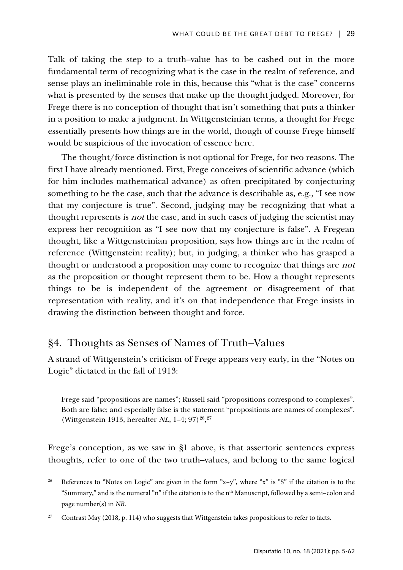Talk of taking the step to a truth–value has to be cashed out in the more fundamental term of recognizing what is the case in the realm of reference, and sense plays an ineliminable role in this, because this "what is the case" concerns what is presented by the senses that make up the thought judged. Moreover, for Frege there is no conception of thought that isn't something that puts a thinker in a position to make a judgment. In Wittgensteinian terms, a thought for Frege essentially presents how things are in the world, though of course Frege himself would be suspicious of the invocation of essence here.

The thought/force distinction is not optional for Frege, for two reasons. The first I have already mentioned. First, Frege conceives of scientific advance (which for him includes mathematical advance) as often precipitated by conjecturing something to be the case, such that the advance is describable as, e.g., "I see now that my conjecture is true". Second, judging may be recognizing that what a thought represents is *not* the case, and in such cases of judging the scientist may express her recognition as "I see now that my conjecture is false". A Fregean thought, like a Wittgensteinian proposition, says how things are in the realm of reference (Wittgenstein: reality); but, in judging, a thinker who has grasped a thought or understood a proposition may come to recognize that things are not as the proposition or thought represent them to be. How a thought represents things to be is independent of the agreement or disagreement of that representation with reality, and it's on that independence that Frege insists in drawing the distinction between thought and force.

### §4. Thoughts as Senses of Names of Truth–Values

A strand of Wittgenstein's criticism of Frege appears very early, in the "Notes on Logic" dictated in the fall of 1913:

Frege said "propositions are names"; Russell said "propositions correspond to complexes". Both are false; and especially false is the statement "propositions are names of complexes". (Wittgenstein 1913, hereafter  $NL$ , 1-4; 97)<sup>[26](#page-24-0)</sup>,<sup>27</sup>

Frege's conception, as we saw in §1 above, is that assertoric sentences express thoughts, refer to one of the two truth–values, and belong to the same logical

- <span id="page-24-0"></span>References to "Notes on Logic" are given in the form "x-y", where "x" is "S" if the citation is to the "Summary," and is the numeral "n" if the citation is to the n<sup>th</sup> Manuscript, followed by a semi-colon and page number(s) in *NB*.
- <span id="page-24-1"></span><sup>27</sup> Contrast May (2018, p. 114) who suggests that Wittgenstein takes propositions to refer to facts.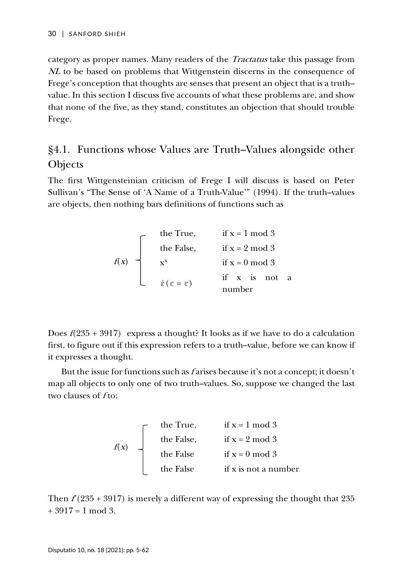category as proper names. Many readers of the Tractatus take this passage from NL to be based on problems that Wittgenstein discerns in the consequence of Frege's conception that thoughts are senses that present an object that is a truth– value. In this section I discuss five accounts of what these problems are, and show that none of the five, as they stand, constitutes an objection that should trouble Frege.

# §4.1. Functions whose Values are Truth–Values alongside other **Objects**

The first Wittgensteinian criticism of Frege I will discuss is based on Peter Sullivan's "The Sense of 'A Name of a Truth-Value'" (1994). If the truth–values are objects, then nothing bars definitions of functions such as

| the True,                             | if x = 1 mod 3       |
|---------------------------------------|----------------------|
| the False,                            | if x = 2 mod 3       |
| $x^x$                                 | if x = 0 mod 3       |
| $\dot{\epsilon}(\epsilon = \epsilon)$ | if x is not a number |

Does  $f(235 + 3917)$  express a thought? It looks as if we have to do a calculation first, to figure out if this expression refers to a truth–value, before we can know if it expresses a thought.

But the issue for functions such as *f* arises because it's not a concept; it doesn't map all objects to only one of two truth–values. So, suppose we changed the last two clauses of f to:

<sup>f</sup>(x) the True, if x = 1 mod 3 the False, if x = 2 mod 3 the False if x = 0 mod 3 the False if x is not a number

Then  $f(235 + 3917)$  is merely a different way of expressing the thought that 235  $+3917=1$  mod 3.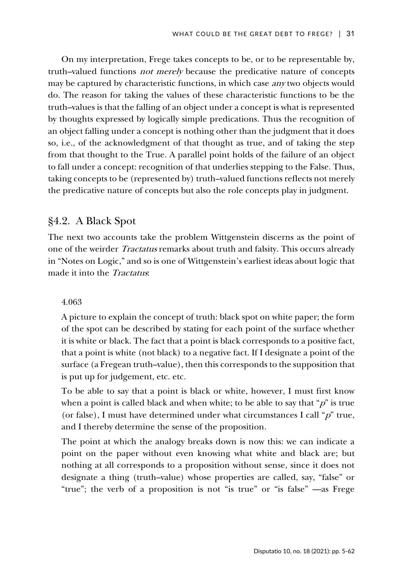On my interpretation, Frege takes concepts to be, or to be representable by, truth–valued functions not merely because the predicative nature of concepts may be captured by characteristic functions, in which case *any* two objects would do. The reason for taking the values of these characteristic functions to be the truth–values is that the falling of an object under a concept is what is represented by thoughts expressed by logically simple predications. Thus the recognition of an object falling under a concept is nothing other than the judgment that it does so, i.e., of the acknowledgment of that thought as true, and of taking the step from that thought to the True. A parallel point holds of the failure of an object to fall under a concept: recognition of that underlies stepping to the False. Thus, taking concepts to be (represented by) truth–valued functions reflects not merely the predicative nature of concepts but also the role concepts play in judgment.

### §4.2. A Black Spot

The next two accounts take the problem Wittgenstein discerns as the point of one of the weirder Tractatus remarks about truth and falsity. This occurs already in "Notes on Logic," and so is one of Wittgenstein's earliest ideas about logic that made it into the Tractatus:

### 4.063

A picture to explain the concept of truth: black spot on white paper; the form of the spot can be described by stating for each point of the surface whether it is white or black. The fact that a point is black corresponds to a positive fact, that a point is white (not black) to a negative fact. If I designate a point of the surface (a Fregean truth–value), then this corresponds to the supposition that is put up for judgement, etc. etc.

To be able to say that a point is black or white, however, I must first know when a point is called black and when white; to be able to say that " $p$ " is true (or false), I must have determined under what circumstances I call " $p$ " true, and I thereby determine the sense of the proposition.

The point at which the analogy breaks down is now this: we can indicate a point on the paper without even knowing what white and black are; but nothing at all corresponds to a proposition without sense, since it does not designate a thing (truth–value) whose properties are called, say, "false" or "true"; the verb of a proposition is not "is true" or "is false" —as Frege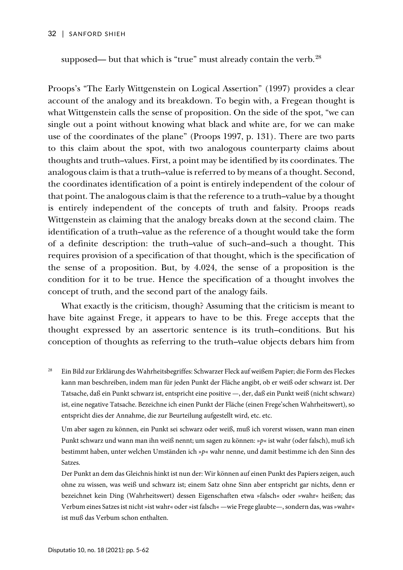supposed— but that which is "true" must already contain the verb. $28$ 

Proops's "The Early Wittgenstein on Logical Assertion" (1997) provides a clear account of the analogy and its breakdown. To begin with, a Fregean thought is what Wittgenstein calls the sense of proposition. On the side of the spot, "we can single out a point without knowing what black and white are, for we can make use of the coordinates of the plane" (Proops 1997, p. 131). There are two parts to this claim about the spot, with two analogous counterparty claims about thoughts and truth–values. First, a point may be identified by its coordinates. The analogous claim is that a truth–value is referred to by means of a thought. Second, the coordinates identification of a point is entirely independent of the colour of that point. The analogous claim is that the reference to a truth–value by a thought is entirely independent of the concepts of truth and falsity. Proops reads Wittgenstein as claiming that the analogy breaks down at the second claim. The identification of a truth–value as the reference of a thought would take the form of a definite description: the truth–value of such–and–such a thought. This requires provision of a specification of that thought, which is the specification of the sense of a proposition. But, by 4.024, the sense of a proposition is the condition for it to be true. Hence the specification of a thought involves the concept of truth, and the second part of the analogy fails.

What exactly is the criticism, though? Assuming that the criticism is meant to have bite against Frege, it appears to have to be this. Frege accepts that the thought expressed by an assertoric sentence is its truth–conditions. But his conception of thoughts as referring to the truth–value objects debars him from

<span id="page-27-0"></span><sup>28</sup> Ein Bild zur Erklärung des Wahrheitsbegriffes: Schwarzer Fleck auf weißem Papier; die Form des Fleckes kann man beschreiben, indem man für jeden Punkt der Fläche angibt, ob er weiß oder schwarz ist. Der Tatsache, daß ein Punkt schwarz ist, entspricht eine positive —, der, daß ein Punkt weiß (nicht schwarz) ist, eine negative Tatsache. Bezeichne ich einen Punkt der Fläche (einen Frege'schen Wahrheitswert), so entspricht dies der Annahme, die zur Beurteilung aufgestellt wird, etc. etc.

Um aber sagen zu können, ein Punkt sei schwarz oder weiß, muß ich vorerst wissen, wann man einen Punkt schwarz und wann man ihn weiß nennt; um sagen zu können: »*p*« ist wahr (oder falsch), muß ich bestimmt haben, unter welchen Umständen ich »*p*« wahr nenne, und damit bestimme ich den Sinn des Satzes.

Der Punkt an dem das Gleichnis hinkt ist nun der: Wir können auf einen Punkt des Papiers zeigen, auch ohne zu wissen, was weiß und schwarz ist; einem Satz ohne Sinn aber entspricht gar nichts, denn er bezeichnet kein Ding (Wahrheitswert) dessen Eigenschaften etwa »falsch« oder »wahr« heißen; das Verbum eines Satzes ist nicht »ist wahr« oder »ist falsch« —wie Frege glaubte—, sondern das, was »wahr« ist muß das Verbum schon enthalten.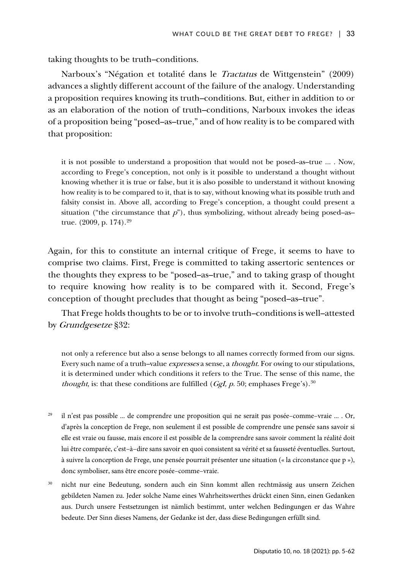taking thoughts to be truth–conditions.

Narboux's "Négation et totalité dans le Tractatus de Wittgenstein" (2009) advances a slightly different account of the failure of the analogy. Understanding a proposition requires knowing its truth–conditions. But, either in addition to or as an elaboration of the notion of truth–conditions, Narboux invokes the ideas of a proposition being "posed–as–true," and of how reality is to be compared with that proposition:

it is not possible to understand a proposition that would not be posed–as–true ... . Now, according to Frege's conception, not only is it possible to understand a thought without knowing whether it is true or false, but it is also possible to understand it without knowing how reality is to be compared to it, that is to say, without knowing what its possible truth and falsity consist in. Above all, according to Frege's conception, a thought could present a situation ("the circumstance that  $p$ "), thus symbolizing, without already being posed–as– true. (2009, p. 174). [29](#page-28-0)

Again, for this to constitute an internal critique of Frege, it seems to have to comprise two claims. First, Frege is committed to taking assertoric sentences or the thoughts they express to be "posed–as–true," and to taking grasp of thought to require knowing how reality is to be compared with it. Second, Frege's conception of thought precludes that thought as being "posed–as–true".

That Frege holds thoughts to be or to involve truth–conditions is well–attested by Grundgesetze §32:

not only a reference but also a sense belongs to all names correctly formed from our signs. Every such name of a truth-value expresses a sense, a thought. For owing to our stipulations, it is determined under which conditions it refers to the True. The sense of this name, the *thought*, is: that these conditions are fulfilled (*GgI*,  $p$ . 50; emphases Frege's).<sup>[30](#page-28-1)</sup>

- <span id="page-28-0"></span><sup>29</sup> il n'est pas possible ... de comprendre une proposition qui ne serait pas posée-comme-vraie ... . Or, d'après la conception de Frege, non seulement il est possible de comprendre une pensée sans savoir si elle est vraie ou fausse, mais encore il est possible de la comprendre sans savoir comment la réalité doit lui être comparée, c'est–à–dire sans savoir en quoi consistent sa vérité et sa fausseté éventuelles. Surtout, à suivre la conception de Frege, une pensée pourrait présenter une situation (« la circonstance que p »), donc symboliser, sans être encore posée–comme–vraie.
- <span id="page-28-1"></span><sup>30</sup> nicht nur eine Bedeutung, sondern auch ein Sinn kommt allen rechtmässig aus unsern Zeichen gebildeten Namen zu. Jeder solche Name eines Wahrheitswerthes drückt einen Sinn, einen Gedanken aus. Durch unsere Festsetzungen ist nämlich bestimmt, unter welchen Bedingungen er das Wahre bedeute. Der Sinn dieses Namens, der Gedanke ist der, dass diese Bedingungen erfüllt sind.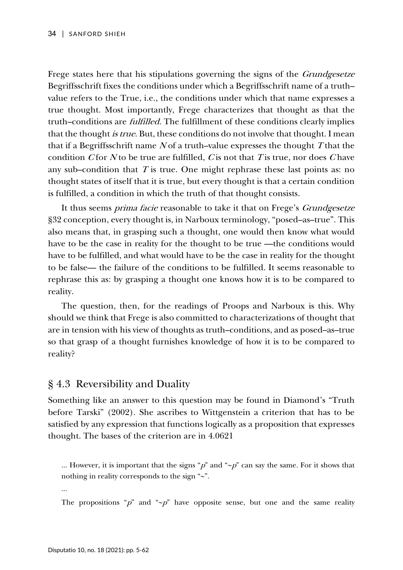Frege states here that his stipulations governing the signs of the *Grundgesetze* Begriffsschrift fixes the conditions under which a Begriffsschrift name of a truth– value refers to the True, i.e., the conditions under which that name expresses a true thought. Most importantly, Frege characterizes that thought as that the truth–conditions are fulfilled. The fulfillment of these conditions clearly implies that the thought *is true*. But, these conditions do not involve that thought. I mean that if a Begriffsschrift name  $N$  of a truth–value expresses the thought T that the condition  $C$  for  $N$  to be true are fulfilled,  $C$  is not that  $T$  is true, nor does  $C$  have any sub–condition that  $T$  is true. One might rephrase these last points as: no thought states of itself that it is true, but every thought is that a certain condition is fulfilled, a condition in which the truth of that thought consists.

It thus seems *prima facie* reasonable to take it that on Frege's *Grundgesetze* §32 conception, every thought is, in Narboux terminology, "posed–as–true". This also means that, in grasping such a thought, one would then know what would have to be the case in reality for the thought to be true —the conditions would have to be fulfilled, and what would have to be the case in reality for the thought to be false— the failure of the conditions to be fulfilled. It seems reasonable to rephrase this as: by grasping a thought one knows how it is to be compared to reality.

The question, then, for the readings of Proops and Narboux is this. Why should we think that Frege is also committed to characterizations of thought that are in tension with his view of thoughts as truth–conditions, and as posed–as–true so that grasp of a thought furnishes knowledge of how it is to be compared to reality?

# § 4.3 Reversibility and Duality

Something like an answer to this question may be found in Diamond's "Truth before Tarski" (2002). She ascribes to Wittgenstein a criterion that has to be satisfied by any expression that functions logically as a proposition that expresses thought. The bases of the criterion are in 4.0621

... However, it is important that the signs "p" and "∼p" can say the same. For it shows that nothing in reality corresponds to the sign "∼".

...

The propositions " $p$ " and "∼ $p$ " have opposite sense, but one and the same reality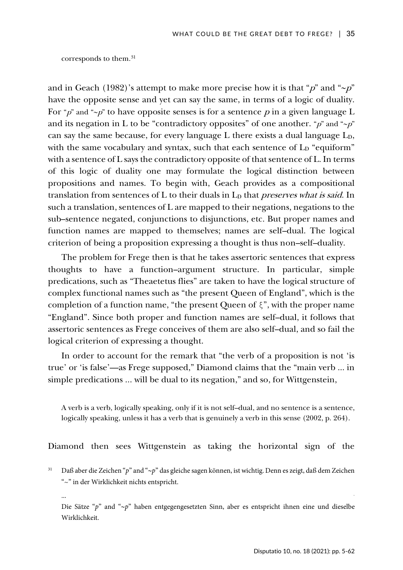corresponds to them.[31](#page-30-0) 

and in Geach (1982)'s attempt to make more precise how it is that "p" and "∼p" have the opposite sense and yet can say the same, in terms of a logic of duality. For "p" and "∼p" to have opposite senses is for a sentence p in a given language L and its negation in L to be "contradictory opposites" of one another. " $p$ " and "∼ $p$ " can say the same because, for every language L there exists a dual language L<sub>D</sub>, with the same vocabulary and syntax, such that each sentence of  $L<sub>D</sub>$  "equiform" with a sentence of L says the contradictory opposite of that sentence of L. In terms of this logic of duality one may formulate the logical distinction between propositions and names. To begin with, Geach provides as a compositional translation from sentences of L to their duals in  $L<sub>D</sub>$  that *preserves what is said*. In such a translation, sentences of L are mapped to their negations, negations to the sub–sentence negated, conjunctions to disjunctions, etc. But proper names and function names are mapped to themselves; names are self–dual. The logical criterion of being a proposition expressing a thought is thus non–self–duality.

The problem for Frege then is that he takes assertoric sentences that express thoughts to have a function–argument structure. In particular, simple predications, such as "Theaetetus flies" are taken to have the logical structure of complex functional names such as "the present Queen of England", which is the completion of a function name, "the present Queen of  $\xi$ ", with the proper name "England". Since both proper and function names are self–dual, it follows that assertoric sentences as Frege conceives of them are also self–dual, and so fail the logical criterion of expressing a thought.

In order to account for the remark that "the verb of a proposition is not 'is true' or 'is false'—as Frege supposed," Diamond claims that the "main verb ... in simple predications ... will be dual to its negation," and so, for Wittgenstein,

A verb is a verb, logically speaking, only if it is not self–dual, and no sentence is a sentence, logically speaking, unless it has a verb that is genuinely a verb in this sense (2002, p. 264).

Diamond then sees Wittgenstein as taking the horizontal sign of the

<span id="page-30-0"></span><sup>31</sup> Daß aber die Zeichen "*p*" and "∼*p*" das gleiche sagen können, ist wichtig. Denn es zeigt, daß dem Zeichen "~" in der Wirklichkeit nichts entspricht.

Die Sätze "*p*" and "∼*p*" haben entgegengesetzten Sinn, aber es entspricht ihnen eine und dieselbe Wirklichkeit.

<sup>...</sup> .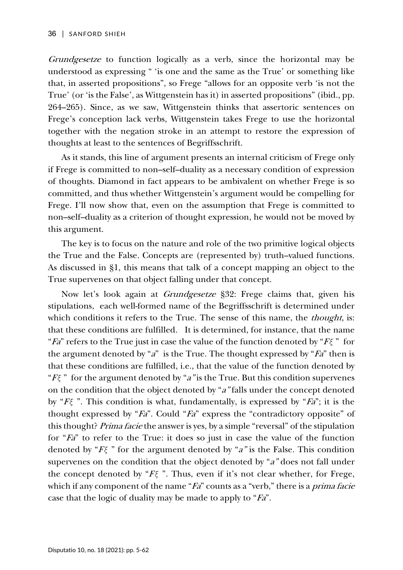Grundgesetze to function logically as a verb, since the horizontal may be understood as expressing " 'is one and the same as the True' or something like that, in asserted propositions", so Frege "allows for an opposite verb 'is not the True' (or 'is the False', as Wittgenstein has it) in asserted propositions" (ibid., pp. 264–265). Since, as we saw, Wittgenstein thinks that assertoric sentences on Frege's conception lack verbs, Wittgenstein takes Frege to use the horizontal together with the negation stroke in an attempt to restore the expression of thoughts at least to the sentences of Begriffsschrift.

As it stands, this line of argument presents an internal criticism of Frege only if Frege is committed to non–self–duality as a necessary condition of expression of thoughts. Diamond in fact appears to be ambivalent on whether Frege is so committed, and thus whether Wittgenstein's argument would be compelling for Frege. I'll now show that, even on the assumption that Frege is committed to non–self–duality as a criterion of thought expression, he would not be moved by this argument.

The key is to focus on the nature and role of the two primitive logical objects the True and the False. Concepts are (represented by) truth–valued functions. As discussed in §1, this means that talk of a concept mapping an object to the True supervenes on that object falling under that concept.

Now let's look again at Grundgesetze §32: Frege claims that, given his stipulations, each well-formed name of the Begriffsschrift is determined under which conditions it refers to the True. The sense of this name, the *thought*, is: that these conditions are fulfilled. It is determined, for instance, that the name "Fa" refers to the True just in case the value of the function denoted by "F*ξ* " for the argument denoted by " $a$ " is the True. The thought expressed by " $Fa$ " then is that these conditions are fulfilled, i.e., that the value of the function denoted by " $F\xi$ " for the argument denoted by "a" is the True. But this condition supervenes on the condition that the object denoted by "a" falls under the concept denoted by "F*ξ* ". This condition is what, fundamentally, is expressed by "Fa"; it is the thought expressed by "Fa". Could "Fa" express the "contradictory opposite" of this thought? Prima facie the answer is yes, by a simple "reversal" of the stipulation for "Fa" to refer to the True: it does so just in case the value of the function denoted by "F*ξ* " for the argument denoted by "a" is the False. This condition supervenes on the condition that the object denoted by "a" does not fall under the concept denoted by "F*ξ* ". Thus, even if it's not clear whether, for Frege, which if any component of the name " $Fa$ " counts as a "verb," there is a *prima facie* case that the logic of duality may be made to apply to "Fa".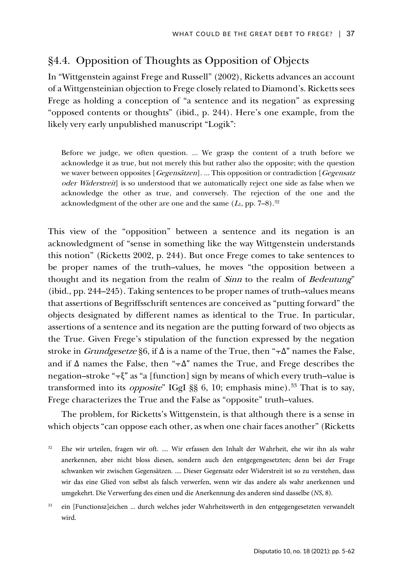# §4.4. Opposition of Thoughts as Opposition of Objects

In "Wittgenstein against Frege and Russell" (2002), Ricketts advances an account of a Wittgensteinian objection to Frege closely related to Diamond's. Ricketts sees Frege as holding a conception of "a sentence and its negation" as expressing "opposed contents or thoughts" (ibid., p. 244). Here's one example, from the likely very early unpublished manuscript "Logik":

Before we judge, we often question. ... We grasp the content of a truth before we acknowledge it as true, but not merely this but rather also the opposite; with the question we waver between opposites [Gegensätzen]. ... This opposition or contradiction [Gegensatz oder Widerstreit] is so understood that we automatically reject one side as false when we acknowledge the other as true, and conversely. The rejection of the one and the acknowledgment of the other are one and the same  $(L_{\mathrm{l}},\,\mathrm{pp}.\,\,7\text{--}8).^{32}$  $(L_{\mathrm{l}},\,\mathrm{pp}.\,\,7\text{--}8).^{32}$  $(L_{\mathrm{l}},\,\mathrm{pp}.\,\,7\text{--}8).^{32}$ 

This view of the "opposition" between a sentence and its negation is an acknowledgment of "sense in something like the way Wittgenstein understands this notion" (Ricketts 2002, p. 244). But once Frege comes to take sentences to be proper names of the truth–values, he moves "the opposition between a thought and its negation from the realm of Sinn to the realm of Bedeutung" (ibid., pp. 244–245). Taking sentences to be proper names of truth–values means that assertions of Begriffsschrift sentences are conceived as "putting forward" the objects designated by different names as identical to the True. In particular, assertions of a sentence and its negation are the putting forward of two objects as the True. Given Frege's stipulation of the function expressed by the negation stroke in *Grundgesetze* §6, if  $\Delta$  is a name of the True, then " $\tau \Delta$ " names the False, and if  $\Delta$  names the False, then " $\tau \Delta$ " names the True, and Frege describes the negation–stroke " $\tau \xi$ " as "a [function] sign by means of which every truth–value is transformed into its *opposite*" IGgI §§ 6, 10; emphasis mine).<sup>[33](#page-32-1)</sup> That is to say, Frege characterizes the True and the False as "opposite" truth–values.

The problem, for Ricketts's Wittgenstein, is that although there is a sense in which objects "can oppose each other, as when one chair faces another" (Ricketts

<span id="page-32-0"></span><sup>32</sup> Ehe wir urteilen, fragen wir oft. .... Wir erfassen den Inhalt der Wahrheit, ehe wir ihn als wahr anerkennen, aber nicht bloss diesen, sondern auch den entgegengesetzten; denn bei der Frage schwanken wir zwischen Gegensätzen. .... Dieser Gegensatz oder Widerstreit ist so zu verstehen, dass wir das eine Glied von selbst als falsch verwerfen, wenn wir das andere als wahr anerkennen und umgekehrt. Die Verwerfung des einen und die Anerkennung des anderen sind dasselbe (*NS*, 8).

<span id="page-32-1"></span>ein [Functionsz]eichen ... durch welches jeder Wahrheitswerth in den entgegengesetzten verwandelt wird.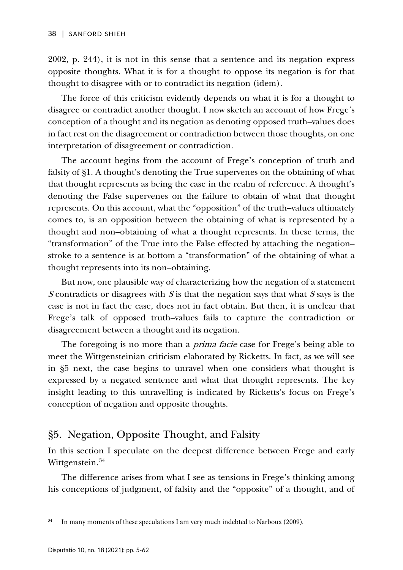2002, p. 244), it is not in this sense that a sentence and its negation express opposite thoughts. What it is for a thought to oppose its negation is for that thought to disagree with or to contradict its negation (idem).

The force of this criticism evidently depends on what it is for a thought to disagree or contradict another thought. I now sketch an account of how Frege's conception of a thought and its negation as denoting opposed truth–values does in fact rest on the disagreement or contradiction between those thoughts, on one interpretation of disagreement or contradiction.

The account begins from the account of Frege's conception of truth and falsity of §1. A thought's denoting the True supervenes on the obtaining of what that thought represents as being the case in the realm of reference. A thought's denoting the False supervenes on the failure to obtain of what that thought represents. On this account, what the "opposition" of the truth–values ultimately comes to, is an opposition between the obtaining of what is represented by a thought and non–obtaining of what a thought represents. In these terms, the "transformation" of the True into the False effected by attaching the negation– stroke to a sentence is at bottom a "transformation" of the obtaining of what a thought represents into its non–obtaining.

But now, one plausible way of characterizing how the negation of a statement S contradicts or disagrees with S is that the negation says that what S says is the case is not in fact the case, does not in fact obtain. But then, it is unclear that Frege's talk of opposed truth–values fails to capture the contradiction or disagreement between a thought and its negation.

The foregoing is no more than a *prima facie* case for Frege's being able to meet the Wittgensteinian criticism elaborated by Ricketts. In fact, as we will see in §5 next, the case begins to unravel when one considers what thought is expressed by a negated sentence and what that thought represents. The key insight leading to this unravelling is indicated by Ricketts's focus on Frege's conception of negation and opposite thoughts.

### §5. Negation, Opposite Thought, and Falsity

In this section I speculate on the deepest difference between Frege and early Wittgenstein.<sup>[34](#page-33-0)</sup>

The difference arises from what I see as tensions in Frege's thinking among his conceptions of judgment, of falsity and the "opposite" of a thought, and of

<span id="page-33-0"></span><sup>&</sup>lt;sup>34</sup> In many moments of these speculations I am very much indebted to Narboux (2009).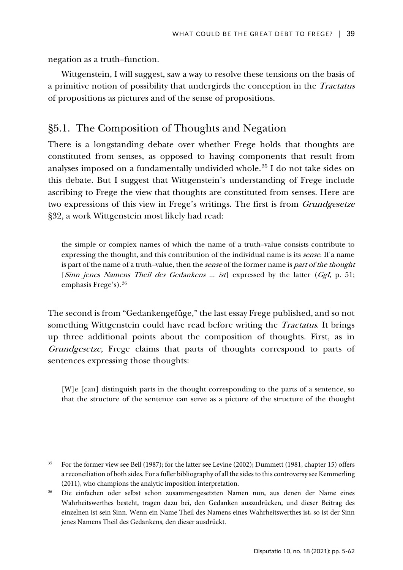negation as a truth–function.

Wittgenstein, I will suggest, saw a way to resolve these tensions on the basis of a primitive notion of possibility that undergirds the conception in the Tractatus of propositions as pictures and of the sense of propositions.

## §5.1. The Composition of Thoughts and Negation

There is a longstanding debate over whether Frege holds that thoughts are constituted from senses, as opposed to having components that result from analyses imposed on a fundamentally undivided whole.[35](#page-34-0) I do not take sides on this debate. But I suggest that Wittgenstein's understanding of Frege include ascribing to Frege the view that thoughts are constituted from senses. Here are two expressions of this view in Frege's writings. The first is from Grundgesetze §32, a work Wittgenstein most likely had read:

the simple or complex names of which the name of a truth–value consists contribute to expressing the thought, and this contribution of the individual name is its sense. If a name is part of the name of a truth–value, then the *sense* of the former name is *part of the thought* [Sinn jenes Namens Theil des Gedankens ... ist] expressed by the latter  $(GgI, p. 51;$ emphasis Frege's).[36](#page-34-1) 

The second is from "Gedankengefüge," the last essay Frege published, and so not something Wittgenstein could have read before writing the *Tractatus*. It brings up three additional points about the composition of thoughts. First, as in Grundgesetze, Frege claims that parts of thoughts correspond to parts of sentences expressing those thoughts:

[W]e [can] distinguish parts in the thought corresponding to the parts of a sentence, so that the structure of the sentence can serve as a picture of the structure of the thought

<span id="page-34-0"></span><sup>&</sup>lt;sup>35</sup> For the former view see Bell (1987); for the latter see Levine (2002); Dummett (1981, chapter 15) offers a reconciliation of both sides. For a fuller bibliography of all the sides to this controversy see Kemmerling (2011), who champions the analytic imposition interpretation.

<span id="page-34-1"></span><sup>36</sup> Die einfachen oder selbst schon zusammengesetzten Namen nun, aus denen der Name eines Wahrheitswerthes besteht, tragen dazu bei, den Gedanken auszudrücken, und dieser Beitrag des einzelnen ist sein Sinn. Wenn ein Name Theil des Namens eines Wahrheitswerthes ist, so ist der Sinn jenes Namens Theil des Gedankens, den dieser ausdrückt.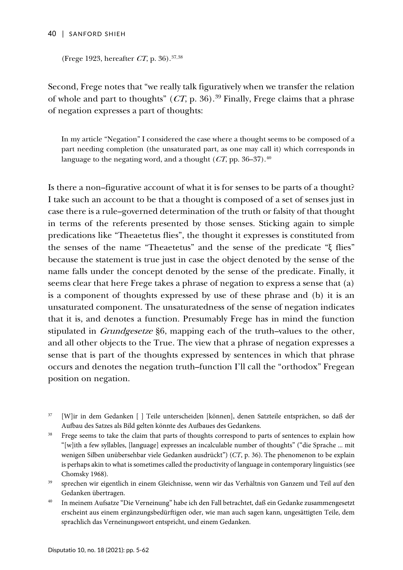#### 40 | SANFORD SHIEH

(Frege 1923, hereafter CT, p. 36). [37,](#page-35-0)[38](#page-35-1)

Second, Frege notes that "we really talk figuratively when we transfer the relation of whole and part to thoughts"  $(CT, p. 36)$ .<sup>[39](#page-35-2)</sup> Finally, Frege claims that a phrase of negation expresses a part of thoughts:

In my article "Negation" I considered the case where a thought seems to be composed of a part needing completion (the unsaturated part, as one may call it) which corresponds in language to the negating word, and a thought (  $CT$ , pp. 36–37). $^{\rm 40}$ 

Is there a non–figurative account of what it is for senses to be parts of a thought? I take such an account to be that a thought is composed of a set of senses just in case there is a rule–governed determination of the truth or falsity of that thought in terms of the referents presented by those senses. Sticking again to simple predications like "Theaetetus flies", the thought it expresses is constituted from the senses of the name "Theaetetus" and the sense of the predicate "ξ flies" because the statement is true just in case the object denoted by the sense of the name falls under the concept denoted by the sense of the predicate. Finally, it seems clear that here Frege takes a phrase of negation to express a sense that (a) is a component of thoughts expressed by use of these phrase and (b) it is an unsaturated component. The unsaturatedness of the sense of negation indicates that it is, and denotes a function. Presumably Frege has in mind the function stipulated in *Grundgesetze* §6, mapping each of the truth–values to the other, and all other objects to the True. The view that a phrase of negation expresses a sense that is part of the thoughts expressed by sentences in which that phrase occurs and denotes the negation truth–function I'll call the "orthodox" Fregean position on negation.

- <span id="page-35-1"></span><sup>38</sup> Frege seems to take the claim that parts of thoughts correspond to parts of sentences to explain how "[w]ith a few syllables, [language] expresses an incalculable number of thoughts" ("die Sprache ... mit wenigen Silben unübersehbar viele Gedanken ausdrückt") (*CT*, p. 36). The phenomenon to be explain is perhaps akin to what is sometimes called the productivity of language in contemporary linguistics (see Chomsky 1968).
- <span id="page-35-2"></span><sup>39</sup> sprechen wir eigentlich in einem Gleichnisse, wenn wir das Verhältnis von Ganzem und Teil auf den Gedanken übertragen.
- <span id="page-35-3"></span><sup>40</sup> In meinem Aufsatze "Die Verneinung" habe ich den Fall betrachtet, daß ein Gedanke zusammengesetzt erscheint aus einem ergänzungsbedürftigen oder, wie man auch sagen kann, ungesättigten Teile, dem sprachlich das Verneinungswort entspricht, und einem Gedanken.

<span id="page-35-0"></span><sup>37</sup> [W]ir in dem Gedanken [ ] Teile unterscheiden [können], denen Satzteile entsprächen, so daß der Aufbau des Satzes als Bild gelten könnte des Aufbaues des Gedankens.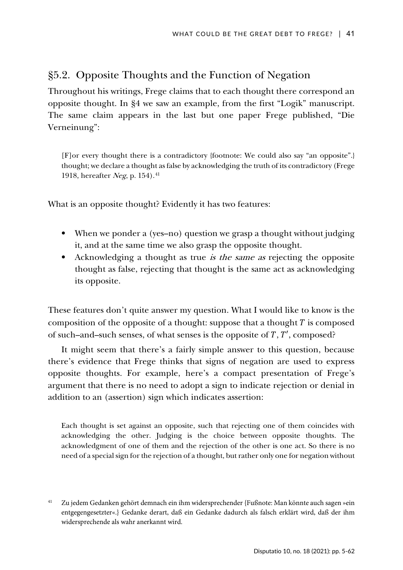# §5.2. Opposite Thoughts and the Function of Negation

Throughout his writings, Frege claims that to each thought there correspond an opposite thought. In §4 we saw an example, from the first "Logik" manuscript. The same claim appears in the last but one paper Frege published, "Die Verneinung":

[F]or every thought there is a contradictory {footnote: We could also say "an opposite".} thought; we declare a thought as false by acknowledging the truth of its contradictory (Frege 1918, hereafter Neg, p. 154). [41](#page-36-0)

What is an opposite thought? Evidently it has two features:

- When we ponder a (yes–no) question we grasp a thought without judging it, and at the same time we also grasp the opposite thought.
- Acknowledging a thought as true is the same as rejecting the opposite thought as false, rejecting that thought is the same act as acknowledging its opposite.

These features don't quite answer my question. What I would like to know is the composition of the opposite of a thought: suppose that a thought  $T$  is composed of such–and–such senses, of what senses is the opposite of  $T$ ,  $T'$ , composed?

It might seem that there's a fairly simple answer to this question, because there's evidence that Frege thinks that signs of negation are used to express opposite thoughts. For example, here's a compact presentation of Frege's argument that there is no need to adopt a sign to indicate rejection or denial in addition to an (assertion) sign which indicates assertion:

Each thought is set against an opposite, such that rejecting one of them coincides with acknowledging the other. Judging is the choice between opposite thoughts. The acknowledgment of one of them and the rejection of the other is one act. So there is no need of a special sign for the rejection of a thought, but rather only one for negation without

<span id="page-36-0"></span><sup>41</sup> Zu jedem Gedanken gehört demnach ein ihm widersprechender {Fußnote: Man könnte auch sagen »ein entgegengesetzter«.} Gedanke derart, daß ein Gedanke dadurch als falsch erklärt wird, daß der ihm widersprechende als wahr anerkannt wird.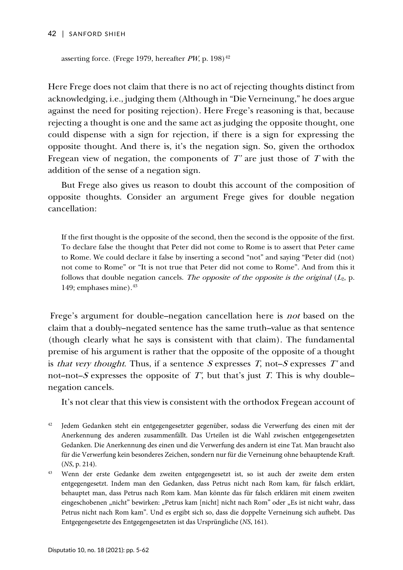#### 42 | SANFORD SHIEH

asserting force. (Frege 1979, hereafter  $PW$ , p. 198)<sup>[42](#page-37-0)</sup>

Here Frege does not claim that there is no act of rejecting thoughts distinct from acknowledging, i.e., judging them (Although in "Die Verneinung," he does argue against the need for positing rejection). Here Frege's reasoning is that, because rejecting a thought is one and the same act as judging the opposite thought, one could dispense with a sign for rejection, if there is a sign for expressing the opposite thought. And there is, it's the negation sign. So, given the orthodox Fregean view of negation, the components of  $T'$  are just those of  $T$  with the addition of the sense of a negation sign.

But Frege also gives us reason to doubt this account of the composition of opposite thoughts. Consider an argument Frege gives for double negation cancellation:

If the first thought is the opposite of the second, then the second is the opposite of the first. To declare false the thought that Peter did not come to Rome is to assert that Peter came to Rome. We could declare it false by inserting a second "not" and saying "Peter did (not) not come to Rome" or "It is not true that Peter did not come to Rome". And from this it follows that double negation cancels. The opposite of the opposite is the original  $(L_2, p)$ . 149; emphases mine). $43$ 

Frege's argument for double–negation cancellation here is not based on the claim that a doubly–negated sentence has the same truth–value as that sentence (though clearly what he says is consistent with that claim). The fundamental premise of his argument is rather that the opposite of the opposite of a thought is that very thought. Thus, if a sentence  $S$  expresses  $T$ , not– $S$  expresses  $T'$  and not–not–S expresses the opposite of  $T'$ , but that's just  $T$ . This is why double– negation cancels.

It's not clear that this view is consistent with the orthodox Fregean account of

<span id="page-37-0"></span><sup>42</sup> Jedem Gedanken steht ein entgegengesetzter gegenüber, sodass die Verwerfung des einen mit der Anerkennung des anderen zusammenfällt. Das Urteilen ist die Wahl zwischen entgegengesetzten Gedanken. Die Anerkennung des einen und die Verwerfung des andern ist eine Tat. Man braucht also für die Verwerfung kein besonderes Zeichen, sondern nur für die Verneinung ohne behauptende Kraft. (*NS*, p. 214).

<span id="page-37-1"></span><sup>43</sup> Wenn der erste Gedanke dem zweiten entgegengesetzt ist, so ist auch der zweite dem ersten entgegengesetzt. Indem man den Gedanken, dass Petrus nicht nach Rom kam, für falsch erklärt, behauptet man, dass Petrus nach Rom kam. Man könnte das für falsch erklären mit einem zweiten eingeschobenen "nicht" bewirken: "Petrus kam [nicht] nicht nach Rom" oder "Es ist nicht wahr, dass Petrus nicht nach Rom kam". Und es ergibt sich so, dass die doppelte Verneinung sich aufhebt. Das Entgegengesetzte des Entgegengesetzten ist das Ursprüngliche (*NS*, 161).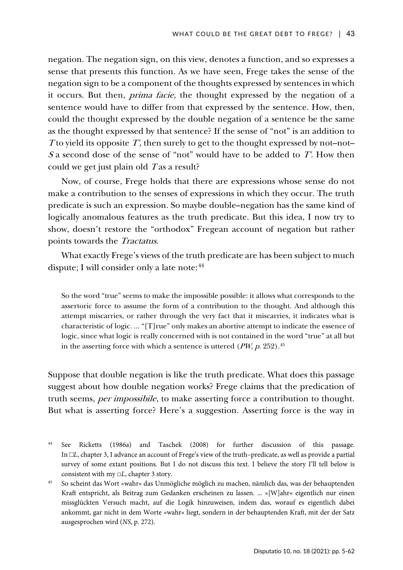negation. The negation sign, on this view, denotes a function, and so expresses a sense that presents this function. As we have seen, Frege takes the sense of the negation sign to be a component of the thoughts expressed by sentences in which it occurs. But then, prima facie, the thought expressed by the negation of a sentence would have to differ from that expressed by the sentence. How, then, could the thought expressed by the double negation of a sentence be the same as the thought expressed by that sentence? If the sense of "not" is an addition to T to yield its opposite  $T'$ , then surely to get to the thought expressed by not–not– S a second dose of the sense of "not" would have to be added to  $T'$ . How then could we get just plain old  $T$  as a result?

Now, of course, Frege holds that there are expressions whose sense do not make a contribution to the senses of expressions in which they occur. The truth predicate is such an expression. So maybe double–negation has the same kind of logically anomalous features as the truth predicate. But this idea, I now try to show, doesn't restore the "orthodox" Fregean account of negation but rather points towards the Tractatus.

What exactly Frege's views of the truth predicate are has been subject to much dispute; I will consider only a late note:<sup>44</sup>

So the word "true" seems to make the impossible possible: it allows what corresponds to the assertoric force to assume the form of a contribution to the thought. And although this attempt miscarries, or rather through the very fact that it miscarries, it indicates what is characteristic of logic. ... "[T]rue" only makes an abortive attempt to indicate the essence of logic, since what logic is really concerned with is not contained in the word "true" at all but in the asserting force with which a sentence is uttered ( $PW$ ,  $p$ . 252).<sup>[45](#page-38-1)</sup>

Suppose that double negation is like the truth predicate. What does this passage suggest about how double negation works? Frege claims that the predication of truth seems, *per impossibile*, to make asserting force a contribution to thought. But what is asserting force? Here's a suggestion. Asserting force is the way in

<span id="page-38-0"></span><sup>44</sup> See Ricketts (1986a) and Taschek (2008) for further discussion of this passage. In □*L*, chapter 3, I advance an account of Frege's view of the truth–predicate, as well as provide a partial survey of some extant positions. But I do not discuss this text. I believe the story I'll tell below is consistent with my □*L*, chapter 3 story.

<span id="page-38-1"></span><sup>45</sup> So scheint das Wort »wahr« das Unmögliche möglich zu machen, nämlich das, was der behauptenden Kraft entspricht, als Beitrag zum Gedanken erscheinen zu lassen. ... »[W]ahr« eigentlich nur einen missglückten Versuch macht, auf die Logik hinzuweisen, indem das, worauf es eigentlich dabei ankommt, gar nicht in dem Worte »wahr« liegt, sondern in der behauptenden Kraft, mit der der Satz ausgesprochen wird (*NS*, p. 272).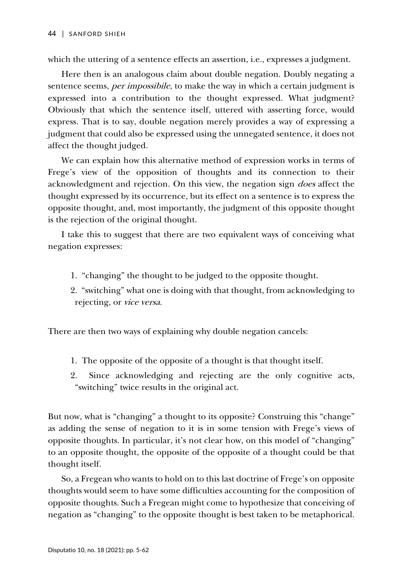which the uttering of a sentence effects an assertion, i.e., expresses a judgment.

Here then is an analogous claim about double negation. Doubly negating a sentence seems, *per impossibile*, to make the way in which a certain judgment is expressed into a contribution to the thought expressed. What judgment? Obviously that which the sentence itself, uttered with asserting force, would express. That is to say, double negation merely provides a way of expressing a judgment that could also be expressed using the unnegated sentence, it does not affect the thought judged.

We can explain how this alternative method of expression works in terms of Frege's view of the opposition of thoughts and its connection to their acknowledgment and rejection. On this view, the negation sign *does* affect the thought expressed by its occurrence, but its effect on a sentence is to express the opposite thought, and, most importantly, the judgment of this opposite thought is the rejection of the original thought.

I take this to suggest that there are two equivalent ways of conceiving what negation expresses:

- 1. "changing" the thought to be judged to the opposite thought.
- 2. "switching" what one is doing with that thought, from acknowledging to rejecting, or vice versa.

There are then two ways of explaining why double negation cancels:

- 1. The opposite of the opposite of a thought is that thought itself.
- 2. Since acknowledging and rejecting are the only cognitive acts, "switching" twice results in the original act.

But now, what is "changing" a thought to its opposite? Construing this "change" as adding the sense of negation to it is in some tension with Frege's views of opposite thoughts. In particular, it's not clear how, on this model of "changing" to an opposite thought, the opposite of the opposite of a thought could be that thought itself.

So, a Fregean who wants to hold on to this last doctrine of Frege's on opposite thoughts would seem to have some difficulties accounting for the composition of opposite thoughts. Such a Fregean might come to hypothesize that conceiving of negation as "changing" to the opposite thought is best taken to be metaphorical.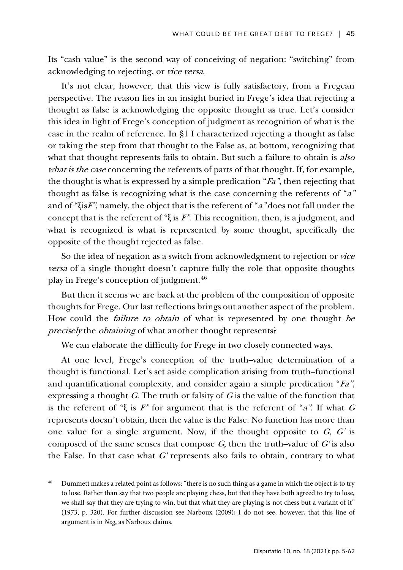Its "cash value" is the second way of conceiving of negation: "switching" from acknowledging to rejecting, or vice versa.

It's not clear, however, that this view is fully satisfactory, from a Fregean perspective. The reason lies in an insight buried in Frege's idea that rejecting a thought as false is acknowledging the opposite thought as true. Let's consider this idea in light of Frege's conception of judgment as recognition of what is the case in the realm of reference. In §1 I characterized rejecting a thought as false or taking the step from that thought to the False as, at bottom, recognizing that what that thought represents fails to obtain. But such a failure to obtain is *also* what is the case concerning the referents of parts of that thought. If, for example, the thought is what is expressed by a simple predication " $Fa$ ", then rejecting that thought as false is recognizing what is the case concerning the referents of "a" and of "ξisF", namely, the object that is the referent of "a" does not fall under the concept that is the referent of "ξ is  $F$ ". This recognition, then, is a judgment, and what is recognized is what is represented by some thought, specifically the opposite of the thought rejected as false.

So the idea of negation as a switch from acknowledgment to rejection or vice versa of a single thought doesn't capture fully the role that opposite thoughts play in Frege's conception of judgment.[46](#page-40-0)

But then it seems we are back at the problem of the composition of opposite thoughts for Frege. Our last reflections brings out another aspect of the problem. How could the *failure to obtain* of what is represented by one thought be precisely the obtaining of what another thought represents?

We can elaborate the difficulty for Frege in two closely connected ways.

At one level, Frege's conception of the truth–value determination of a thought is functional. Let's set aside complication arising from truth–functional and quantificational complexity, and consider again a simple predication "Fa", expressing a thought  $G$ . The truth or falsity of  $G$  is the value of the function that is the referent of "ξ is F" for argument that is the referent of "a". If what G represents doesn't obtain, then the value is the False. No function has more than one value for a single argument. Now, if the thought opposite to  $G$ ,  $G'$  is composed of the same senses that compose  $G$ , then the truth–value of  $G'$  is also the False. In that case what  $G'$  represents also fails to obtain, contrary to what

<span id="page-40-0"></span>Dummett makes a related point as follows: "there is no such thing as a game in which the object is to try to lose. Rather than say that two people are playing chess, but that they have both agreed to try to lose, we shall say that they are trying to win, but that what they are playing is not chess but a variant of it" (1973, p. 320). For further discussion see Narboux (2009); I do not see, however, that this line of argument is in *Neg*, as Narboux claims.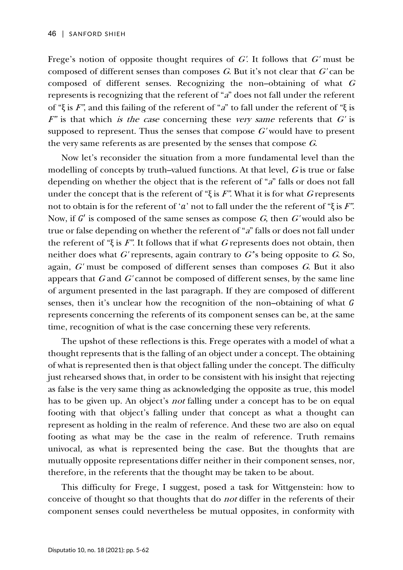Frege's notion of opposite thought requires of  $G'$ . It follows that  $G'$  must be composed of different senses than composes  $G$ . But it's not clear that  $G'$  can be composed of different senses. Recognizing the non-obtaining of what  $G$ represents is recognizing that the referent of "a" does not fall under the referent of "ξ is F", and this failing of the referent of "a" to fall under the referent of "ξ is  $F''$  is that which is the case concerning these very same referents that  $G'$  is supposed to represent. Thus the senses that compose  $G'$  would have to present the very same referents as are presented by the senses that compose <sup>G</sup>.

Now let's reconsider the situation from a more fundamental level than the modelling of concepts by truth–valued functions. At that level,  $G$  is true or false depending on whether the object that is the referent of "a" falls or does not fall under the concept that is the referent of " $\xi$  is F". What it is for what G represents not to obtain is for the referent of 'a' not to fall under the the referent of "ξ is  $F$ ". Now, if  $G'$  is composed of the same senses as compose  $G$ , then  $G'$  would also be true or false depending on whether the referent of "a" falls or does not fall under the referent of "ξ is F". It follows that if what G represents does not obtain, then neither does what G' represents, again contrary to G's being opposite to G. So, again,  $G'$  must be composed of different senses than composes  $G$ . But it also appears that  $G$  and  $G'$  cannot be composed of different senses, by the same line of argument presented in the last paragraph. If they are composed of different senses, then it's unclear how the recognition of the non-obtaining of what  $G$ represents concerning the referents of its component senses can be, at the same time, recognition of what is the case concerning these very referents.

The upshot of these reflections is this. Frege operates with a model of what a thought represents that is the falling of an object under a concept. The obtaining of what is represented then is that object falling under the concept. The difficulty just rehearsed shows that, in order to be consistent with his insight that rejecting as false is the very same thing as acknowledging the opposite as true, this model has to be given up. An object's *not* falling under a concept has to be on equal footing with that object's falling under that concept as what a thought can represent as holding in the realm of reference. And these two are also on equal footing as what may be the case in the realm of reference. Truth remains univocal, as what is represented being the case. But the thoughts that are mutually opposite representations differ neither in their component senses, nor, therefore, in the referents that the thought may be taken to be about.

This difficulty for Frege, I suggest, posed a task for Wittgenstein: how to conceive of thought so that thoughts that do not differ in the referents of their component senses could nevertheless be mutual opposites, in conformity with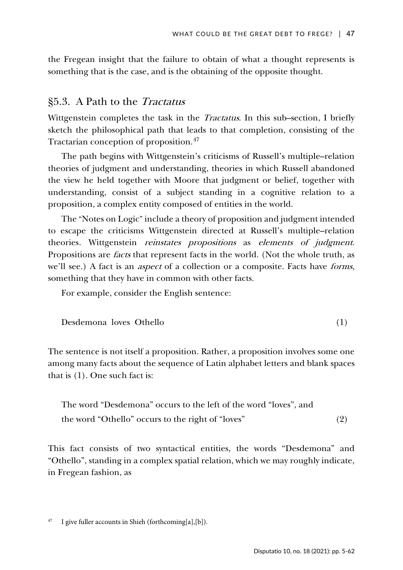the Fregean insight that the failure to obtain of what a thought represents is something that is the case, and is the obtaining of the opposite thought.

# §5.3. A Path to the Tractatus

Wittgenstein completes the task in the *Tractatus*. In this sub-section, I briefly sketch the philosophical path that leads to that completion, consisting of the Tractarian conception of proposition.<sup>[47](#page-42-0)</sup>

The path begins with Wittgenstein's criticisms of Russell's multiple–relation theories of judgment and understanding, theories in which Russell abandoned the view he held together with Moore that judgment or belief, together with understanding, consist of a subject standing in a cognitive relation to a proposition, a complex entity composed of entities in the world.

The "Notes on Logic" include a theory of proposition and judgment intended to escape the criticisms Wittgenstein directed at Russell's multiple–relation theories. Wittgenstein reinstates propositions as elements of judgment. Propositions are *facts* that represent facts in the world. (Not the whole truth, as we'll see.) A fact is an *aspect* of a collection or a composite. Facts have *forms*, something that they have in common with other facts.

For example, consider the English sentence:

$$
Desdemona loves Othello
$$
\n
$$
(1)
$$

The sentence is not itself a proposition. Rather, a proposition involves some one among many facts about the sequence of Latin alphabet letters and blank spaces that is (1). One such fact is:

The word "Desdemona" occurs to the left of the word "loves", and the word "Othello" occurs to the right of "loves" (2)

This fact consists of two syntactical entities, the words "Desdemona" and "Othello", standing in a complex spatial relation, which we may roughly indicate, in Fregean fashion, as

<span id="page-42-0"></span>I give fuller accounts in Shieh (forthcoming[a],[b]).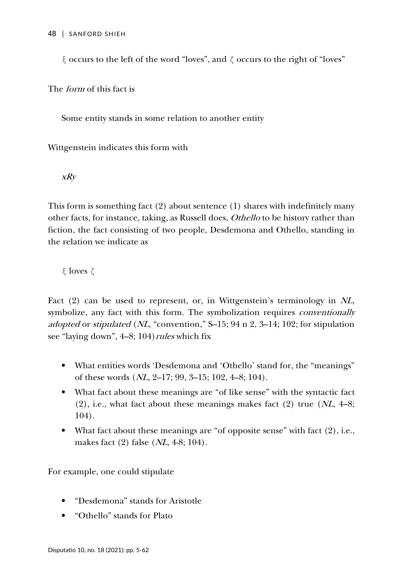ξ occurs to the left of the word "loves", and ζ occurs to the right of "loves"

The form of this fact is

Some entity stands in some relation to another entity

Wittgenstein indicates this form with

xRy

This form is something fact (2) about sentence (1) shares with indefinitely many other facts, for instance, taking, as Russell does, Othello to be history rather than fiction, the fact consisting of two people, Desdemona and Othello, standing in the relation we indicate as

ξ loves ζ

Fact (2) can be used to represent, or, in Wittgenstein's terminology in NL, symbolize, any fact with this form. The symbolization requires *conventionally* adopted or stipulated (NL, "convention," S–15; 94 n 2, 3–14; 102; for stipulation see "laying down",  $4-8$ ; 104) *rules* which fix

- What entities words 'Desdemona and 'Othello' stand for, the "meanings" of these words (NL, 2–17; 99, 3–15; 102, 4–8; 104).
- What fact about these meanings are "of like sense" with the syntactic fact  $(2)$ , i.e., what fact about these meanings makes fact  $(2)$  true  $(N<sub>L</sub>, 4-8;$ 104).
- What fact about these meanings are "of opposite sense" with fact  $(2)$ , i.e., makes fact (2) false (NL, 4-8; 104).

For example, one could stipulate

- "Desdemona" stands for Aristotle
- "Othello" stands for Plato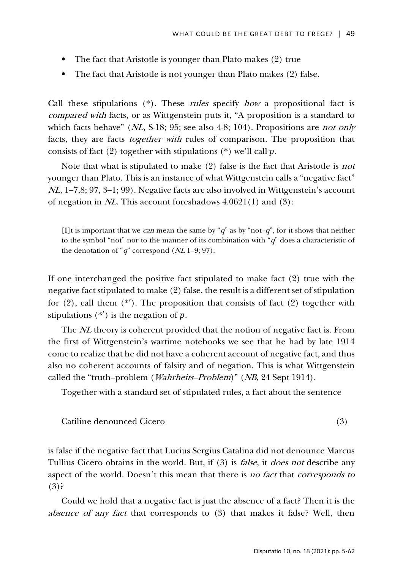- The fact that Aristotle is younger than Plato makes (2) true
- The fact that Aristotle is not younger than Plato makes (2) false.

Call these stipulations  $(*)$ . These *rules* specify *how* a propositional fact is compared with facts, or as Wittgenstein puts it, "A proposition is a standard to which facts behave" (NL, S-18; 95; see also 4-8; 104). Propositions are *not only* facts, they are facts together with rules of comparison. The proposition that consists of fact (2) together with stipulations (\*) we'll call  $p$ .

Note that what is stipulated to make (2) false is the fact that Aristotle is not younger than Plato. This is an instance of what Wittgenstein calls a "negative fact" NL, 1–7,8; 97, 3–1; 99). Negative facts are also involved in Wittgenstein's account of negation in NL. This account foreshadows 4.0621(1) and (3):

[I]t is important that we *can* mean the same by " $q$ " as by "not– $q$ ", for it shows that neither to the symbol "not" nor to the manner of its combination with " $q$ " does a characteristic of the denotation of "q" correspond  $(NL 1-9; 97)$ .

If one interchanged the positive fact stipulated to make fact (2) true with the negative fact stipulated to make (2) false, the result is a different set of stipulation for  $(2)$ , call them  $(*')$ . The proposition that consists of fact  $(2)$  together with stipulations  $(*')$  is the negation of  $p$ .

The *NL* theory is coherent provided that the notion of negative fact is. From the first of Wittgenstein's wartime notebooks we see that he had by late 1914 come to realize that he did not have a coherent account of negative fact, and thus also no coherent accounts of falsity and of negation. This is what Wittgenstein called the "truth–problem (Wahrheits–Problem)" (NB, 24 Sept 1914).

Together with a standard set of stipulated rules, a fact about the sentence

Catiline denounced Cicero (3)

is false if the negative fact that Lucius Sergius Catalina did not denounce Marcus Tullius Cicero obtains in the world. But, if (3) is *false*, it *does not* describe any aspect of the world. Doesn't this mean that there is no fact that corresponds to (3)?

Could we hold that a negative fact is just the absence of a fact? Then it is the absence of any fact that corresponds to (3) that makes it false? Well, then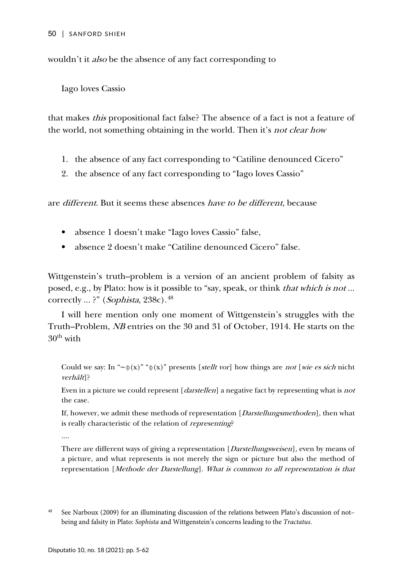wouldn't it *also* be the absence of any fact corresponding to

Iago loves Cassio

that makes this propositional fact false? The absence of a fact is not a feature of the world, not something obtaining in the world. Then it's not clear how

- 1. the absence of any fact corresponding to "Catiline denounced Cicero"
- 2. the absence of any fact corresponding to "Iago loves Cassio"

are different. But it seems these absences have to be different, because

- absence 1 doesn't make "Iago loves Cassio" false,
- absence 2 doesn't make "Catiline denounced Cicero" false.

Wittgenstein's truth–problem is a version of an ancient problem of falsity as posed, e.g., by Plato: how is it possible to "say, speak, or think that which is not ... correctly ... ?" (*Sophista*, 238c).<sup>[48](#page-45-0)</sup>

I will here mention only one moment of Wittgenstein's struggles with the Truth–Problem, NB entries on the 30 and 31 of October, 1914. He starts on the  $30<sup>th</sup>$  with

Could we say: In "∼ $\phi(x)$ " " $\phi(x)$ " presents [*stellt vor*] how things are *not* [*wie es sich* nicht verhält]?

Even in a picture we could represent [*darstellen*] a negative fact by representing what is not the case.

If, however, we admit these methods of representation [*Darstellungsmethoden*], then what is really characteristic of the relation of *representing*?

....

There are different ways of giving a representation [Darstellungsweisen], even by means of a picture, and what represents is not merely the sign or picture but also the method of representation [Methode der Darstellung]. What is common to all representation is that

<span id="page-45-0"></span><sup>48</sup> See Narboux (2009) for an illuminating discussion of the relations between Plato's discussion of not– being and falsity in Plato: *Sophista* and Wittgenstein's concerns leading to the *Tractatus*.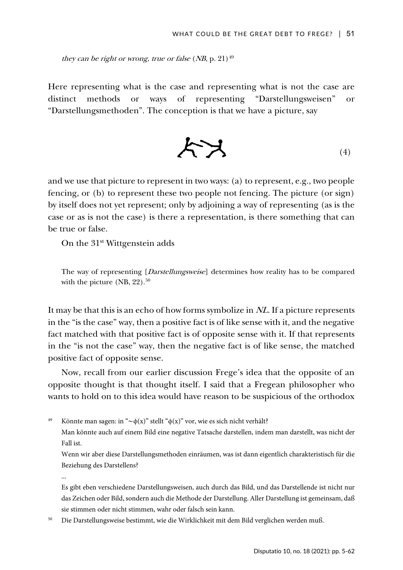they can be right or wrong, true or false (NB, p. 21)<sup>49</sup>

Here representing what is the case and representing what is not the case are distinct methods or ways of representing "Darstellungsweisen" or "Darstellungsmethoden". The conception is that we have a picture, say

$$
\mathcal{K} \times \mathcal{K} \qquad \qquad (*)
$$

and we use that picture to represent in two ways: (a) to represent, e.g., two people fencing, or (b) to represent these two people not fencing. The picture (or sign) by itself does not yet represent; only by adjoining a way of representing (as is the case or as is not the case) is there a representation, is there something that can be true or false.

On the 31<sup>st</sup> Wittgenstein adds

The way of representing [Darstellungsweise] determines how reality has to be compared with the picture  $(NB, 22).$ <sup>[50](#page-46-1)</sup>

It may be that this is an echo of how forms symbolize in NL. If a picture represents in the "is the case" way, then a positive fact is of like sense with it, and the negative fact matched with that positive fact is of opposite sense with it. If that represents in the "is not the case" way, then the negative fact is of like sense, the matched positive fact of opposite sense.

Now, recall from our earlier discussion Frege's idea that the opposite of an opposite thought is that thought itself. I said that a Fregean philosopher who wants to hold on to this idea would have reason to be suspicious of the orthodox

<span id="page-46-0"></span>Könnte man sagen: in "∼ $\phi(x)$ " stellt " $\phi(x)$ " vor, wie es sich nicht verhält?

Wenn wir aber diese Darstellungsmethoden einräumen, was ist dann eigentlich charakteristisch für die Beziehung des Darstellens?

...

Es gibt eben verschiedene Darstellungsweisen, auch durch das Bild, und das Darstellende ist nicht nur das Zeichen oder Bild, sondern auch die Methode der Darstellung. Aller Darstellung ist gemeinsam, daß sie stimmen oder nicht stimmen, wahr oder falsch sein kann.

<span id="page-46-1"></span><sup>50</sup> Die Darstellungsweise bestimmt, wie die Wirklichkeit mit dem Bild verglichen werden muß.

Man könnte auch auf einem Bild eine negative Tatsache darstellen, indem man darstellt, was nicht der Fall ist.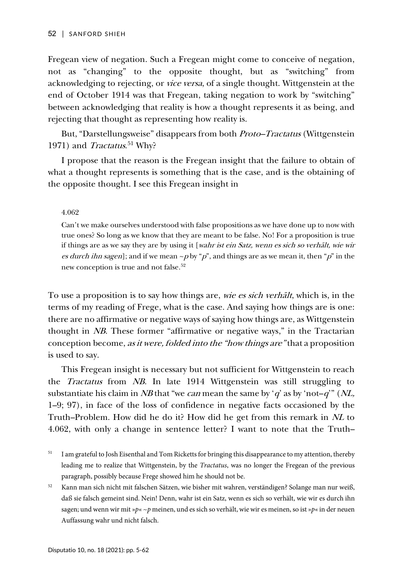Fregean view of negation. Such a Fregean might come to conceive of negation, not as "changing" to the opposite thought, but as "switching" from acknowledging to rejecting, or *vice versa*, of a single thought. Wittgenstein at the end of October 1914 was that Fregean, taking negation to work by "switching" between acknowledging that reality is how a thought represents it as being, and rejecting that thought as representing how reality is.

But, "Darstellungsweise" disappears from both *Proto–Tractatus* (Wittgenstein 1971) and *Tractatus*.<sup>[51](#page-47-0)</sup> Why?

I propose that the reason is the Fregean insight that the failure to obtain of what a thought represents is something that is the case, and is the obtaining of the opposite thought. I see this Fregean insight in

4.062

Can't we make ourselves understood with false propositions as we have done up to now with true ones? So long as we know that they are meant to be false. No! For a proposition is true if things are as we say they are by using it [wahr ist ein Satz, wenn es sich so verhält, wie wir es durch ihn sagen]; and if we mean  $\sim p$  by "p", and things are as we mean it, then "p" in the new conception is true and not false.<sup>[52](#page-47-1)</sup>

To use a proposition is to say how things are, *wie es sich verhält*, which is, in the terms of my reading of Frege, what is the case. And saying how things are is one: there are no affirmative or negative ways of saying how things are, as Wittgenstein thought in NB. These former "affirmative or negative ways," in the Tractarian conception become, as it were, folded into the "how things are" that a proposition is used to say.

This Fregean insight is necessary but not sufficient for Wittgenstein to reach the Tractatus from NB. In late 1914 Wittgenstein was still struggling to substantiate his claim in NB that "we can mean the same by 'q' as by 'not–q'" (NL, 1–9; 97), in face of the loss of confidence in negative facts occasioned by the Truth–Problem. How did he do it? How did he get from this remark in NL to 4.062, with only a change in sentence letter? I want to note that the Truth–

<span id="page-47-0"></span><sup>51</sup> I am grateful to Josh Eisenthal and Tom Ricketts for bringing this disappearance to my attention, thereby leading me to realize that Wittgenstein, by the *Tractatus*, was no longer the Fregean of the previous paragraph, possibly because Frege showed him he should not be.

<span id="page-47-1"></span><sup>52</sup> Kann man sich nicht mit falschen Sätzen, wie bisher mit wahren, verständigen? Solange man nur weiß, daß sie falsch gemeint sind. Nein! Denn, wahr ist ein Satz, wenn es sich so verhält, wie wir es durch ihn sagen; und wenn wir mit »*p*« ~*p* meinen, und es sich so verhält, wie wir es meinen, so ist »*p*« in der neuen Auffassung wahr und nicht falsch.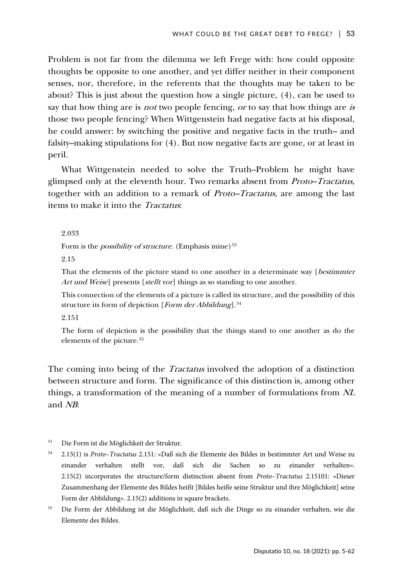Problem is not far from the dilemma we left Frege with: how could opposite thoughts be opposite to one another, and yet differ neither in their component senses, nor, therefore, in the referents that the thoughts may be taken to be about? This is just about the question how a single picture, (4), can be used to say that how thing are is *not* two people fencing, *or* to say that how things are *is* those two people fencing? When Wittgenstein had negative facts at his disposal, he could answer: by switching the positive and negative facts in the truth– and falsity–making stipulations for (4). But now negative facts are gone, or at least in peril.

What Wittgenstein needed to solve the Truth–Problem he might have glimpsed only at the eleventh hour. Two remarks absent from Proto–Tractatus, together with an addition to a remark of Proto–Tractatus, are among the last items to make it into the Tractatus:

2.033

Form is the *possibility of structure*. (Emphasis mine)<sup>53</sup>

2.15

That the elements of the picture stand to one another in a determinate way [*bestimmter* Art und Weise] presents [stellt vor] things as so standing to one another.

This connection of the elements of a picture is called its structure, and the possibility of this structure its form of depiction [Form der Abbildung].<sup>54</sup>

2.151

The form of depiction is the possibility that the things stand to one another as do the elements of the picture.<sup>55</sup>

The coming into being of the *Tractatus* involved the adoption of a distinction between structure and form. The significance of this distinction is, among other things, a transformation of the meaning of a number of formulations from NL and NB:

- <span id="page-48-0"></span><sup>53</sup> Die Form ist die Möglichkeit der Struktur.
- <span id="page-48-1"></span><sup>54</sup> 2.15(1) is *Proto–Tractatus* 2.151: »Daß sich die Elemente des Bildes in bestimmter Art und Weise zu einander verhalten stellt vor, daß sich die Sachen so zu einander verhalten«. 2.15(2) incorporates the structure/form distinction absent from *Proto–Tractatus* 2.15101: »Dieser Zusammenhang der Elemente des Bildes heißt [Bildes heiße seine Struktur und ihre Möglichkeit] seine Form der Abbildung«. 2.15(2) additions in square brackets.
- <span id="page-48-2"></span><sup>55</sup> Die Form der Abbildung ist die Möglichkeit, daß sich die Dinge so zu einander verhalten, wie die Elemente des Bildes.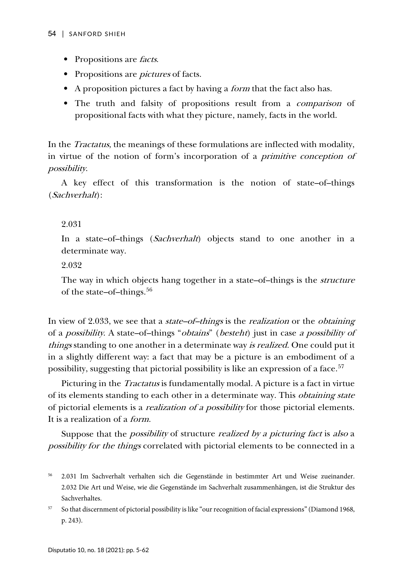- Propositions are *facts*.
- Propositions are *pictures* of facts.
- A proposition pictures a fact by having a *form* that the fact also has.
- The truth and falsity of propositions result from a comparison of propositional facts with what they picture, namely, facts in the world.

In the Tractatus, the meanings of these formulations are inflected with modality, in virtue of the notion of form's incorporation of a primitive conception of possibility.

A key effect of this transformation is the notion of state–of–things (Sachverhalt):

### 2.031

In a state–of–things (*Sachverhalt*) objects stand to one another in a determinate way.

#### 2.032

The way in which objects hang together in a state–of–things is the *structure* of the state–of–things.<sup>[56](#page-49-0)</sup>

In view of 2.033, we see that a *state–of–things* is the *realization* or the *obtaining* of a possibility. A state–of–things "obtains" (besteht) just in case a possibility of things standing to one another in a determinate way is realized. One could put it in a slightly different way: a fact that may be a picture is an embodiment of a possibility, suggesting that pictorial possibility is like an expression of a face.<sup>[57](#page-49-1)</sup>

Picturing in the *Tractatus* is fundamentally modal. A picture is a fact in virtue of its elements standing to each other in a determinate way. This *obtaining state* of pictorial elements is a realization of a possibility for those pictorial elements. It is a realization of a form.

Suppose that the *possibility* of structure *realized by a picturing fact* is also a possibility for the things correlated with pictorial elements to be connected in a

<span id="page-49-1"></span><sup>57</sup> So that discernment of pictorial possibility is like "our recognition of facial expressions" (Diamond 1968, p. 243).

<span id="page-49-0"></span><sup>56</sup> 2.031 Im Sachverhalt verhalten sich die Gegenstände in bestimmter Art und Weise zueinander. 2.032 Die Art und Weise, wie die Gegenstände im Sachverhalt zusammenhängen, ist die Struktur des Sachverhaltes.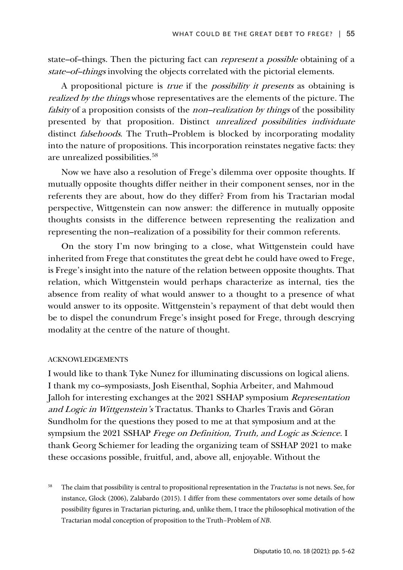state–of–things. Then the picturing fact can represent a possible obtaining of a state–of–things involving the objects correlated with the pictorial elements.

A propositional picture is true if the possibility it presents as obtaining is realized by the things whose representatives are the elements of the picture. The falsity of a proposition consists of the *non–realization by things* of the possibility presented by that proposition. Distinct unrealized possibilities individuate distinct falsehoods. The Truth–Problem is blocked by incorporating modality into the nature of propositions. This incorporation reinstates negative facts: they are unrealized possibilities.<sup>[58](#page-50-0)</sup>

Now we have also a resolution of Frege's dilemma over opposite thoughts. If mutually opposite thoughts differ neither in their component senses, nor in the referents they are about, how do they differ? From from his Tractarian modal perspective, Wittgenstein can now answer: the difference in mutually opposite thoughts consists in the difference between representing the realization and representing the non–realization of a possibility for their common referents.

On the story I'm now bringing to a close, what Wittgenstein could have inherited from Frege that constitutes the great debt he could have owed to Frege, is Frege's insight into the nature of the relation between opposite thoughts. That relation, which Wittgenstein would perhaps characterize as internal, ties the absence from reality of what would answer to a thought to a presence of what would answer to its opposite. Wittgenstein's repayment of that debt would then be to dispel the conundrum Frege's insight posed for Frege, through descrying modality at the centre of the nature of thought.

### ACKNOWLEDGEMENTS

I would like to thank Tyke Nunez for illuminating discussions on logical aliens. I thank my co–symposiasts, Josh Eisenthal, Sophia Arbeiter, and Mahmoud Jalloh for interesting exchanges at the 2021 SSHAP symposium Representation and Logic in Wittgenstein's Tractatus. Thanks to Charles Travis and Göran Sundholm for the questions they posed to me at that symposium and at the sympsium the 2021 SSHAP Frege on Definition, Truth, and Logic as Science. I thank Georg Schiemer for leading the organizing team of SSHAP 2021 to make these occasions possible, fruitful, and, above all, enjoyable. Without the

<span id="page-50-0"></span><sup>58</sup> The claim that possibility is central to propositional representation in the *Tractatus* is not news. See, for instance, Glock (2006), Zalabardo (2015). I differ from these commentators over some details of how possibility figures in Tractarian picturing, and, unlike them, I trace the philosophical motivation of the Tractarian modal conception of proposition to the Truth–Problem of *NB*.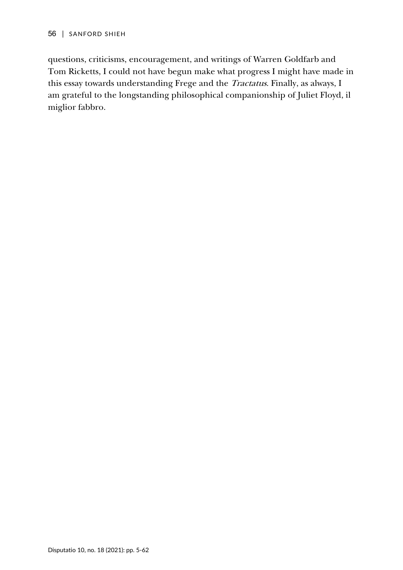questions, criticisms, encouragement, and writings of Warren Goldfarb and Tom Ricketts, I could not have begun make what progress I might have made in this essay towards understanding Frege and the Tractatus. Finally, as always, I am grateful to the longstanding philosophical companionship of Juliet Floyd, il miglior fabbro.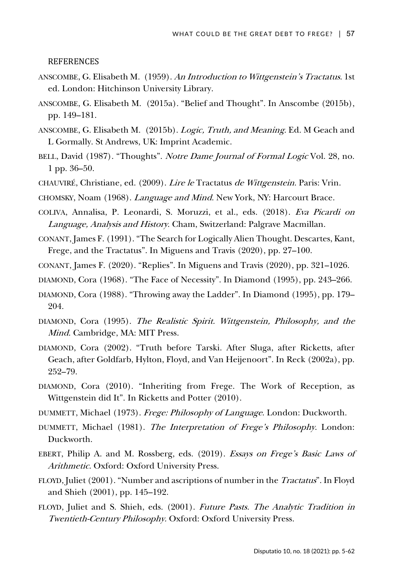REFERENCES

- ANSCOMBE, G. Elisabeth M. (1959). An Introduction to Wittgenstein's Tractatus. 1st ed. London: Hitchinson University Library.
- ANSCOMBE, G. Elisabeth M. (2015a). "Belief and Thought". In Anscombe (2015b), pp. 149–181.
- ANSCOMBE, G. Elisabeth M. (2015b). Logic, Truth, and Meaning. Ed. M Geach and L Gormally. St Andrews, UK: Imprint Academic.
- BELL, David (1987). "Thoughts". Notre Dame Journal of Formal Logic Vol. 28, no. 1 pp. 36–50.
- CHAUVIRÉ, Christiane, ed. (2009). Lire le Tractatus de Wittgenstein. Paris: Vrin.
- CHOMSKY, Noam (1968). Language and Mind. New York, NY: Harcourt Brace.
- COLIVA, Annalisa, P. Leonardi, S. Moruzzi, et al., eds. (2018). Eva Picardi on Language, Analysis and History. Cham, Switzerland: Palgrave Macmillan.
- CONANT, James F. (1991). "The Search for Logically Alien Thought. Descartes, Kant, Frege, and the Tractatus". In Miguens and Travis (2020), pp. 27–100.
- CONANT, James F. (2020). "Replies". In Miguens and Travis (2020), pp. 321–1026.
- DIAMOND, Cora (1968). "The Face of Necessity". In Diamond (1995), pp. 243–266.
- DIAMOND, Cora (1988). "Throwing away the Ladder". In Diamond (1995), pp. 179– 204.
- DIAMOND, Cora (1995). The Realistic Spirit. Wittgenstein, Philosophy, and the Mind. Cambridge, MA: MIT Press.
- DIAMOND, Cora (2002). "Truth before Tarski. After Sluga, after Ricketts, after Geach, after Goldfarb, Hylton, Floyd, and Van Heijenoort". In Reck (2002a), pp. 252–79.
- DIAMOND, Cora (2010). "Inheriting from Frege. The Work of Reception, as Wittgenstein did It". In Ricketts and Potter (2010).
- DUMMETT, Michael (1973). Frege: Philosophy of Language. London: Duckworth.
- DUMMETT, Michael (1981). The Interpretation of Frege's Philosophy. London: Duckworth.
- EBERT, Philip A. and M. Rossberg, eds. (2019). Essays on Frege's Basic Laws of Arithmetic. Oxford: Oxford University Press.
- FLOYD, Juliet (2001). "Number and ascriptions of number in the Tractatus". In Floyd and Shieh (2001), pp. 145–192.
- FLOYD, Juliet and S. Shieh, eds. (2001). Future Pasts. The Analytic Tradition in Twentieth-Century Philosophy. Oxford: Oxford University Press.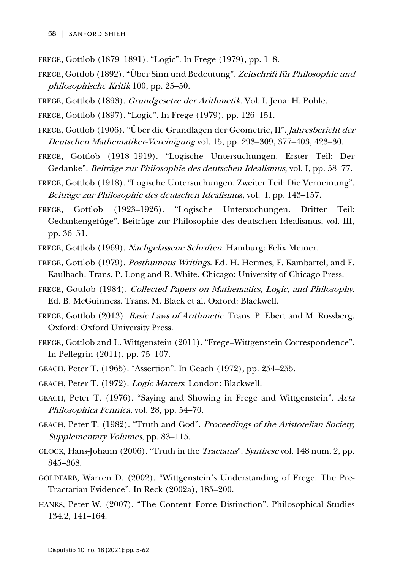- FREGE, Gottlob (1879–1891). "Logic". In Frege (1979), pp. 1–8.
- FREGE, Gottlob (1892). "Über Sinn und Bedeutung". Zeitschrift für Philosophie und philosophische Kritik 100, pp. 25–50.
- FREGE, Gottlob (1893). Grundgesetze der Arithmetik. Vol. I. Jena: H. Pohle.
- FREGE, Gottlob (1897). "Logic". In Frege (1979), pp. 126–151.
- FREGE, Gottlob (1906). "Über die Grundlagen der Geometrie, II". Jahresbericht der Deutschen Mathematiker-Vereinigung vol. 15, pp. 293–309, 377–403, 423–30.
- FREGE, Gottlob (1918–1919). "Logische Untersuchungen. Erster Teil: Der Gedanke". Beiträge zur Philosophie des deutschen Idealismus, vol. I, pp. 58–77.
- FREGE, Gottlob (1918). "Logische Untersuchungen. Zweiter Teil: Die Verneinung". Beiträge zur Philosophie des deutschen Idealismus, vol. I, pp. 143–157.
- FREGE, Gottlob (1923–1926). "Logische Untersuchungen. Dritter Teil: Gedankengefüge". Beiträge zur Philosophie des deutschen Idealismus, vol. III, pp. 36–51.
- FREGE, Gottlob (1969). Nachgelassene Schriften. Hamburg: Felix Meiner.
- FREGE, Gottlob (1979). Posthumous Writings. Ed. H. Hermes, F. Kambartel, and F. Kaulbach. Trans. P. Long and R. White. Chicago: University of Chicago Press.
- FREGE, Gottlob (1984). Collected Papers on Mathematics, Logic, and Philosophy. Ed. B. McGuinness. Trans. M. Black et al. Oxford: Blackwell.
- FREGE, Gottlob (2013). *Basic Laws of Arithmetic*. Trans. P. Ebert and M. Rossberg. Oxford: Oxford University Press.
- FREGE, Gottlob and L. Wittgenstein (2011). "Frege–Wittgenstein Correspondence". In Pellegrin (2011), pp. 75–107.
- GEACH, Peter T. (1965). "Assertion". In Geach (1972), pp. 254–255.
- GEACH, Peter T. (1972). Logic Matters. London: Blackwell.
- GEACH, Peter T. (1976). "Saying and Showing in Frege and Wittgenstein". Acta Philosophica Fennica, vol. 28, pp. 54–70.
- GEACH, Peter T. (1982). "Truth and God". Proceedings of the Aristotelian Society, Supplementary Volumes, pp. 83–115.
- GLOCK, Hans-Johann (2006). "Truth in the Tractatus". Synthese vol. 148 num. 2, pp. 345–368.
- GOLDFARB, Warren D. (2002). "Wittgenstein's Understanding of Frege. The Pre-Tractarian Evidence". In Reck (2002a), 185–200.
- HANKS, Peter W. (2007). "The Content–Force Distinction". Philosophical Studies 134.2, 141–164.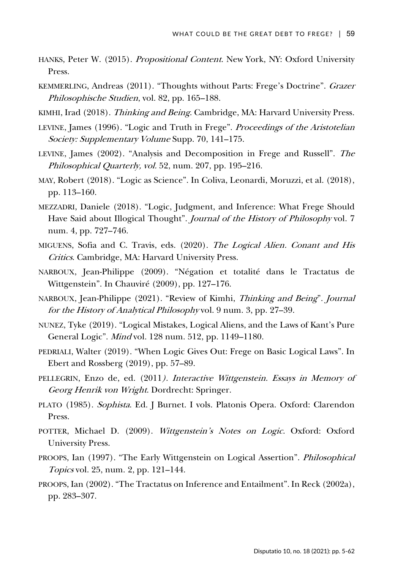- HANKS, Peter W. (2015). Propositional Content. New York, NY: Oxford University Press.
- KEMMERLING, Andreas (2011). "Thoughts without Parts: Frege's Doctrine". Grazer Philosophische Studien, vol. 82, pp. 165–188.
- KIMHI, Irad (2018). Thinking and Being. Cambridge, MA: Harvard University Press.
- LEVINE, James (1996). "Logic and Truth in Frege". Proceedings of the Aristotelian Society: Supplementary Volume Supp. 70, 141–175.
- LEVINE, James (2002). "Analysis and Decomposition in Frege and Russell". The Philosophical Quarterly, vol. 52, num. 207, pp. 195–216.
- MAY, Robert (2018). "Logic as Science". In Coliva, Leonardi, Moruzzi, et al. (2018), pp. 113–160.
- MEZZADRI, Daniele (2018). "Logic, Judgment, and Inference: What Frege Should Have Said about Illogical Thought". Journal of the History of Philosophy vol. 7 num. 4, pp. 727–746.
- MIGUENS, Sofia and C. Travis, eds. (2020). The Logical Alien. Conant and His Critics. Cambridge, MA: Harvard University Press.
- NARBOUX, Jean-Philippe (2009). "Négation et totalité dans le Tractatus de Wittgenstein". In Chauviré (2009), pp. 127–176.
- NARBOUX, Jean-Philippe (2021). "Review of Kimhi, Thinking and Being". Journal for the History of Analytical Philosophy vol. 9 num. 3, pp. 27–39.
- NUNEZ, Tyke (2019). "Logical Mistakes, Logical Aliens, and the Laws of Kant's Pure General Logic". Mind vol. 128 num. 512, pp. 1149–1180.
- PEDRIALI, Walter (2019). "When Logic Gives Out: Frege on Basic Logical Laws". In Ebert and Rossberg (2019), pp. 57–89.
- PELLEGRIN, Enzo de, ed. (2011). Interactive Wittgenstein. Essays in Memory of Georg Henrik von Wright. Dordrecht: Springer.
- PLATO (1985). Sophista. Ed. J Burnet. I vols. Platonis Opera. Oxford: Clarendon Press.
- POTTER, Michael D. (2009). Wittgenstein's Notes on Logic. Oxford: Oxford University Press.
- PROOPS, Ian (1997). "The Early Wittgenstein on Logical Assertion". Philosophical Topics vol. 25, num. 2, pp. 121–144.
- PROOPS, Ian (2002). "The Tractatus on Inference and Entailment". In Reck (2002a), pp. 283–307.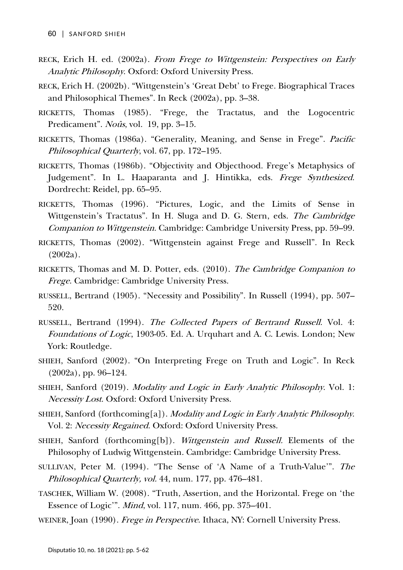- RECK, Erich H. ed. (2002a). From Frege to Wittgenstein: Perspectives on Early Analytic Philosophy. Oxford: Oxford University Press.
- RECK, Erich H. (2002b). "Wittgenstein's 'Great Debt' to Frege. Biographical Traces and Philosophical Themes". In Reck (2002a), pp. 3–38.
- RICKETTS, Thomas (1985). "Frege, the Tractatus, and the Logocentric Predicament". *Noûs*, vol. 19, pp. 3–15.
- RICKETTS, Thomas (1986a). "Generality, Meaning, and Sense in Frege". Pacific Philosophical Quarterly, vol. 67, pp. 172–195.
- RICKETTS, Thomas (1986b). "Objectivity and Objecthood. Frege's Metaphysics of Judgement". In L. Haaparanta and J. Hintikka, eds. Frege Synthesized. Dordrecht: Reidel, pp. 65–95.
- RICKETTS, Thomas (1996). "Pictures, Logic, and the Limits of Sense in Wittgenstein's Tractatus". In H. Sluga and D. G. Stern, eds. The Cambridge Companion to Wittgenstein. Cambridge: Cambridge University Press, pp. 59–99.
- RICKETTS, Thomas (2002). "Wittgenstein against Frege and Russell". In Reck (2002a).
- RICKETTS, Thomas and M. D. Potter, eds. (2010). The Cambridge Companion to Frege. Cambridge: Cambridge University Press.
- RUSSELL, Bertrand (1905). "Necessity and Possibility". In Russell (1994), pp. 507– 520.
- RUSSELL, Bertrand (1994). The Collected Papers of Bertrand Russell. Vol. 4: Foundations of Logic, 1903-05. Ed. A. Urquhart and A. C. Lewis. London; New York: Routledge.
- SHIEH, Sanford (2002). "On Interpreting Frege on Truth and Logic". In Reck (2002a), pp. 96–124.
- SHIEH, Sanford (2019). Modality and Logic in Early Analytic Philosophy. Vol. 1: Necessity Lost. Oxford: Oxford University Press.
- SHIEH, Sanford (forthcoming[a]). Modality and Logic in Early Analytic Philosophy. Vol. 2: Necessity Regained. Oxford: Oxford University Press.
- SHIEH, Sanford (forthcoming[b]). Wittgenstein and Russell. Elements of the Philosophy of Ludwig Wittgenstein. Cambridge: Cambridge University Press.
- SULLIVAN, Peter M. (1994). "The Sense of 'A Name of a Truth-Value'". The Philosophical Quarterly, vol. 44, num. 177, pp. 476–481.
- TASCHEK, William W. (2008). "Truth, Assertion, and the Horizontal. Frege on 'the Essence of Logic'". Mind, vol. 117, num. 466, pp. 375–401.
- WEINER, Joan (1990). Frege in Perspective. Ithaca, NY: Cornell University Press.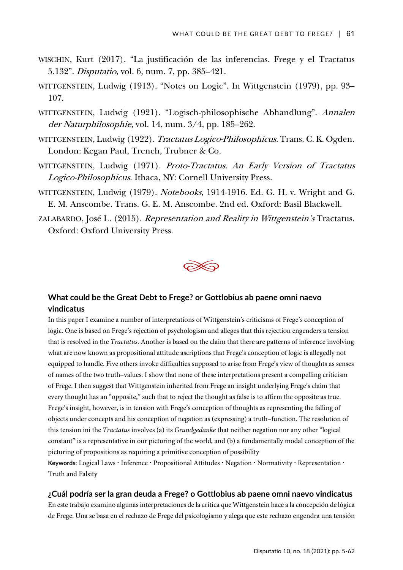- WISCHIN, Kurt (2017). "La justificación de las inferencias. Frege y el Tractatus 5.132". Disputatio, vol. 6, num. 7, pp. 385–421.
- WITTGENSTEIN, Ludwig (1913). "Notes on Logic". In Wittgenstein (1979), pp. 93– 107.
- WITTGENSTEIN, Ludwig (1921). "Logisch-philosophische Abhandlung". Annalen der Naturphilosophie, vol. 14, num. 3/4, pp. 185–262.
- WITTGENSTEIN, Ludwig (1922). Tractatus Logico-Philosophicus. Trans. C. K. Ogden. London: Kegan Paul, Trench, Trubner & Co.
- WITTGENSTEIN, Ludwig (1971). Proto-Tractatus. An Early Version of Tractatus Logico-Philosophicus. Ithaca, NY: Cornell University Press.
- WITTGENSTEIN, Ludwig (1979). Notebooks, 1914-1916. Ed. G. H. v. Wright and G. E. M. Anscombe. Trans. G. E. M. Anscombe. 2nd ed. Oxford: Basil Blackwell.
- ZALABARDO, José L. (2015). Representation and Reality in Wittgenstein's Tractatus. Oxford: Oxford University Press.



### **What could be the Great Debt to Frege? or Gottlobius ab paene omni naevo vindicatus**

In this paper I examine a number of interpretations of Wittgenstein's criticisms of Frege's conception of logic. One is based on Frege's rejection of psychologism and alleges that this rejection engenders a tension that is resolved in the *Tractatus*. Another is based on the claim that there are patterns of inference involving what are now known as propositional attitude ascriptions that Frege's conception of logic is allegedly not equipped to handle. Five others invoke difficulties supposed to arise from Frege's view of thoughts as senses of names of the two truth–values. I show that none of these interpretations present a compelling criticism of Frege. I then suggest that Wittgenstein inherited from Frege an insight underlying Frege's claim that every thought has an "opposite," such that to reject the thought as false is to affirm the opposite as true. Frege's insight, however, is in tension with Frege's conception of thoughts as representing the falling of objects under concepts and his conception of negation as (expressing) a truth–function. The resolution of this tension ini the *Tractatus* involves (a) its *Grundgedanke* that neither negation nor any other "logical constant" is a representative in our picturing of the world, and (b) a fundamentally modal conception of the picturing of propositions as requiring a primitive conception of possibility Keywords: Logical Laws **Inference · Propositional Attitudes · Negation · Normativity · Representation ·** Truth and Falsity

### **¿Cuál podría ser la gran deuda a Frege? o Gottlobius ab paene omni naevo vindicatus**

En este trabajo examino algunas interpretaciones de la crítica que Wittgenstein hace a la concepción de lógica de Frege. Una se basa en el rechazo de Frege del psicologismo y alega que este rechazo engendra una tensión